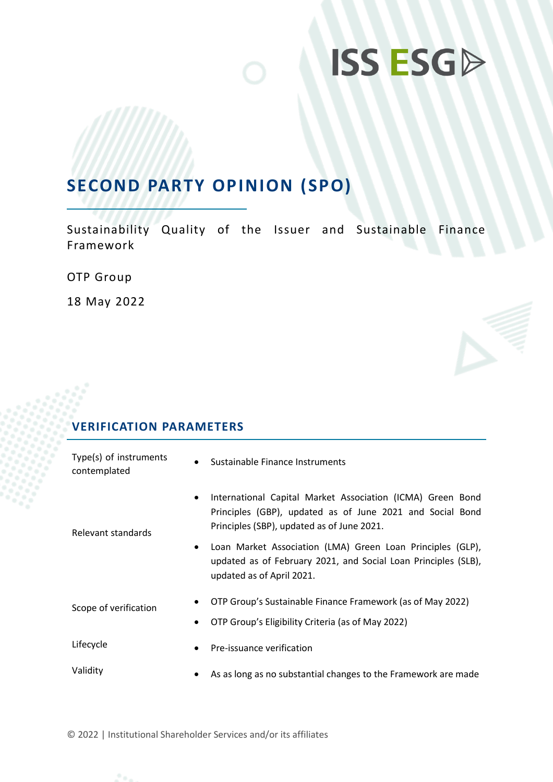# **ISS ESGD**

## **SECOND PARTY OPINION (SPO)**

Sustainability Quality of the Issuer and Sustainable Finance Framework

OTP Group

18 May 2022

## **VERIFICATION PARAMETERS**

| Type(s) of instruments<br>contemplated |           | Sustainable Finance Instruments                                                                                                                                       |
|----------------------------------------|-----------|-----------------------------------------------------------------------------------------------------------------------------------------------------------------------|
| Relevant standards                     | $\bullet$ | International Capital Market Association (ICMA) Green Bond<br>Principles (GBP), updated as of June 2021 and Social Bond<br>Principles (SBP), updated as of June 2021. |
|                                        | $\bullet$ | Loan Market Association (LMA) Green Loan Principles (GLP),<br>updated as of February 2021, and Social Loan Principles (SLB),<br>updated as of April 2021.             |
| Scope of verification                  | $\bullet$ | OTP Group's Sustainable Finance Framework (as of May 2022)<br>OTP Group's Eligibility Criteria (as of May 2022)                                                       |
| Lifecycle                              | $\bullet$ | Pre-issuance verification                                                                                                                                             |
| Validity                               | $\bullet$ | As as long as no substantial changes to the Framework are made                                                                                                        |

© 2022 | Institutional Shareholder Services and/or its affiliates

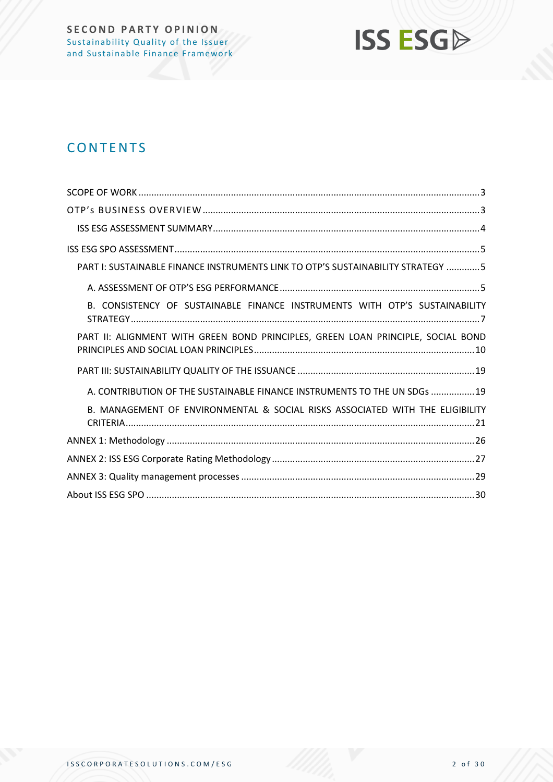

## **CONTENTS**

| PART I: SUSTAINABLE FINANCE INSTRUMENTS LINK TO OTP'S SUSTAINABILITY STRATEGY 5  |
|----------------------------------------------------------------------------------|
|                                                                                  |
| B. CONSISTENCY OF SUSTAINABLE FINANCE INSTRUMENTS WITH OTP'S SUSTAINABILITY      |
| PART II: ALIGNMENT WITH GREEN BOND PRINCIPLES, GREEN LOAN PRINCIPLE, SOCIAL BOND |
|                                                                                  |
| A. CONTRIBUTION OF THE SUSTAINABLE FINANCE INSTRUMENTS TO THE UN SDGs  19        |
| B. MANAGEMENT OF ENVIRONMENTAL & SOCIAL RISKS ASSOCIATED WITH THE ELIGIBILITY    |
|                                                                                  |
|                                                                                  |
|                                                                                  |
|                                                                                  |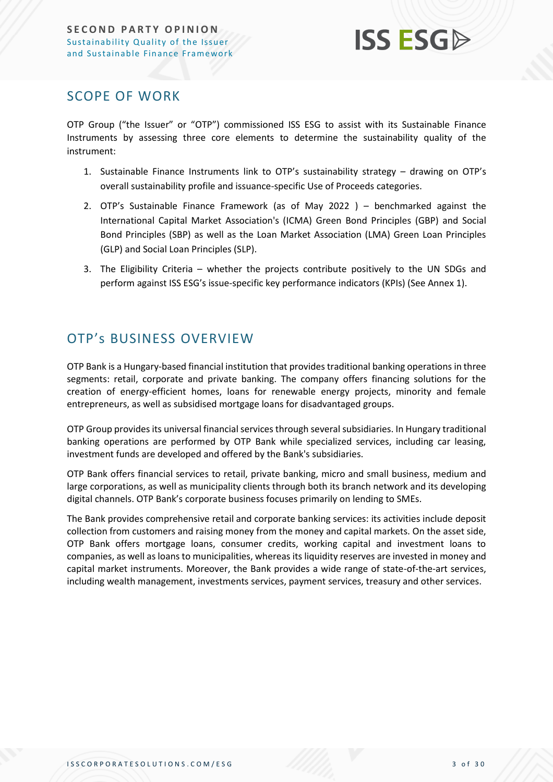

### <span id="page-2-0"></span>SCOPE OF WORK

OTP Group ("the Issuer" or "OTP") commissioned ISS ESG to assist with its Sustainable Finance Instruments by assessing three core elements to determine the sustainability quality of the instrument:

- 1. Sustainable Finance Instruments link to OTP's sustainability strategy drawing on OTP's overall sustainability profile and issuance-specific Use of Proceeds categories.
- 2. OTP's Sustainable Finance Framework (as of May 2022 ) benchmarked against the International Capital Market Association's (ICMA) Green Bond Principles (GBP) and Social Bond Principles (SBP) as well as the Loan Market Association (LMA) Green Loan Principles (GLP) and Social Loan Principles (SLP).
- 3. The Eligibility Criteria whether the projects contribute positively to the UN SDGs and perform against ISS ESG's issue-specific key performance indicators (KPIs) (See Annex 1).

## <span id="page-2-1"></span>OTP's BUSINESS OVERVIEW

OTP Bank is a Hungary-based financial institution that provides traditional banking operations in three segments: retail, corporate and private banking. The company offers financing solutions for the creation of energy-efficient homes, loans for renewable energy projects, minority and female entrepreneurs, as well as subsidised mortgage loans for disadvantaged groups.

OTP Group provides its universal financial services through several subsidiaries. In Hungary traditional banking operations are performed by OTP Bank while specialized services, including car leasing, investment funds are developed and offered by the Bank's subsidiaries.

OTP Bank offers financial services to retail, private banking, micro and small business, medium and large corporations, as well as municipality clients through both its branch network and its developing digital channels. OTP Bank's corporate business focuses primarily on lending to SMEs.

The Bank provides comprehensive retail and corporate banking services: its activities include deposit collection from customers and raising money from the money and capital markets. On the asset side, OTP Bank offers mortgage loans, consumer credits, working capital and investment loans to companies, as well as loans to municipalities, whereas its liquidity reserves are invested in money and capital market instruments. Moreover, the Bank provides a wide range of state-of-the-art services, including wealth management, investments services, payment services, treasury and other services.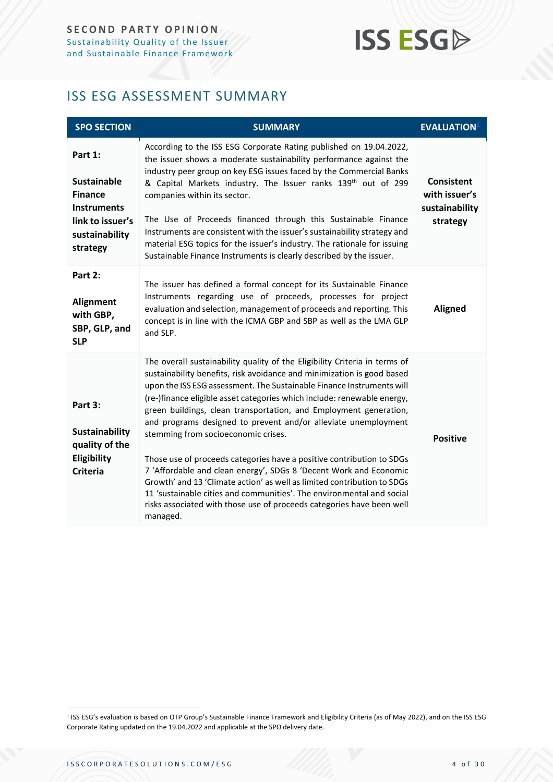## **ISS ESG**

## <span id="page-3-0"></span>ISS ESG ASSESSMENT SUMMARY

| <b>SPO SECTION</b>                                                                                                      | <b>SUMMARY</b>                                                                                                                                                                                                                                                                                                                                                                                                                                                                                                                                                                                                                                                                                                                                                                                                                                                                | <b>EVALUATION</b> <sup>1</sup>                            |
|-------------------------------------------------------------------------------------------------------------------------|-------------------------------------------------------------------------------------------------------------------------------------------------------------------------------------------------------------------------------------------------------------------------------------------------------------------------------------------------------------------------------------------------------------------------------------------------------------------------------------------------------------------------------------------------------------------------------------------------------------------------------------------------------------------------------------------------------------------------------------------------------------------------------------------------------------------------------------------------------------------------------|-----------------------------------------------------------|
| Part 1:<br><b>Sustainable</b><br><b>Finance</b><br><b>Instruments</b><br>link to issuer's<br>sustainability<br>strategy | According to the ISS ESG Corporate Rating published on 19.04.2022,<br>the issuer shows a moderate sustainability performance against the<br>industry peer group on key ESG issues faced by the Commercial Banks<br>& Capital Markets industry. The Issuer ranks 139 <sup>th</sup> out of 299<br>companies within its sector.<br>The Use of Proceeds financed through this Sustainable Finance<br>Instruments are consistent with the issuer's sustainability strategy and<br>material ESG topics for the issuer's industry. The rationale for issuing<br>Sustainable Finance Instruments is clearly described by the issuer.                                                                                                                                                                                                                                                  | Consistent<br>with issuer's<br>sustainability<br>strategy |
| Part 2:<br>Alignment<br>with GBP,<br>SBP, GLP, and<br><b>SLP</b>                                                        | The issuer has defined a formal concept for its Sustainable Finance<br>Instruments regarding use of proceeds, processes for project<br>evaluation and selection, management of proceeds and reporting. This<br>concept is in line with the ICMA GBP and SBP as well as the LMA GLP<br>and SLP.                                                                                                                                                                                                                                                                                                                                                                                                                                                                                                                                                                                | <b>Aligned</b>                                            |
| Part 3:<br><b>Sustainability</b><br>quality of the<br>Eligibility<br><b>Criteria</b>                                    | The overall sustainability quality of the Eligibility Criteria in terms of<br>sustainability benefits, risk avoidance and minimization is good based<br>upon the ISS ESG assessment. The Sustainable Finance Instruments will<br>(re-)finance eligible asset categories which include: renewable energy,<br>green buildings, clean transportation, and Employment generation,<br>and programs designed to prevent and/or alleviate unemployment<br>stemming from socioeconomic crises.<br>Those use of proceeds categories have a positive contribution to SDGs<br>7 'Affordable and clean energy', SDGs 8 'Decent Work and Economic<br>Growth' and 13 'Climate action' as well as limited contribution to SDGs<br>11 'sustainable cities and communities'. The environmental and social<br>risks associated with those use of proceeds categories have been well<br>managed. | <b>Positive</b>                                           |

<sup>1</sup> ISS ESG's evaluation is based on OTP Group's Sustainable Finance Framework and Eligibility Criteria (as of May 2022), and on the ISS ESG Corporate Rating updated on the 19.04.2022 and applicable at the SPO delivery date.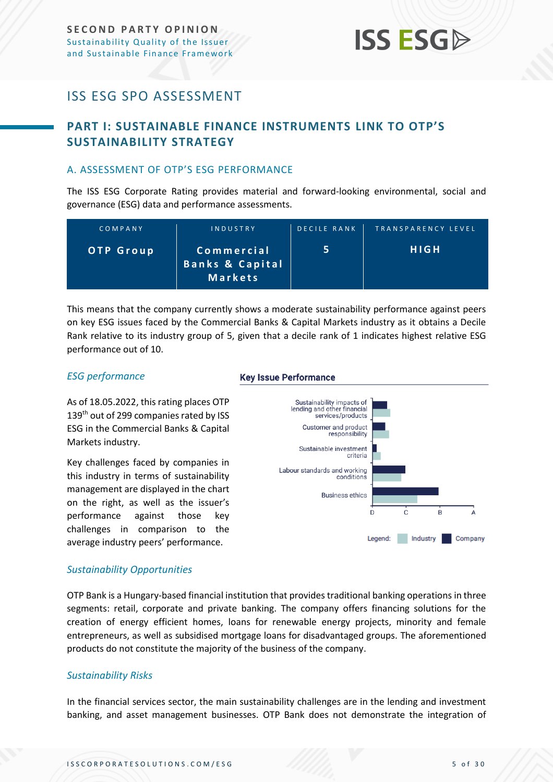### <span id="page-4-0"></span>ISS ESG SPO ASSESSMENT

### <span id="page-4-1"></span>**PART I: SUSTAINABLE FINANCE INSTRUMENTS LINK TO OTP'S SUSTAINABILITY STRATEGY**

#### <span id="page-4-2"></span>A. ASSESSMENT OF OTP'S ESG PERFORMANCE

The ISS ESG Corporate Rating provides material and forward-looking environmental, social and governance (ESG) data and performance assessments.

| COMPANY          | INDUSTRY                                            | <b>DECILE RANK</b> | TRANSPARENCY LEVEL |
|------------------|-----------------------------------------------------|--------------------|--------------------|
| <b>OTP Group</b> | Commercial<br><b>Banks &amp; Capital</b><br>Markets |                    | <b>HIGH</b>        |

This means that the company currently shows a moderate sustainability performance against peers on key ESG issues faced by the Commercial Banks & Capital Markets industry as it obtains a Decile Rank relative to its industry group of 5, given that a decile rank of 1 indicates highest relative ESG performance out of 10.

#### *ESG performance*

As of 18.05.2022, this rating places OTP 139<sup>th</sup> out of 299 companies rated by ISS ESG in the Commercial Banks & Capital Markets industry.

Key challenges faced by companies in this industry in terms of sustainability management are displayed in the chart on the right, as well as the issuer's performance against those key challenges in comparison to the average industry peers' performance.

#### **Key Issue Performance**



#### *Sustainability Opportunities*

OTP Bank is a Hungary-based financial institution that provides traditional banking operations in three segments: retail, corporate and private banking. The company offers financing solutions for the creation of energy efficient homes, loans for renewable energy projects, minority and female entrepreneurs, as well as subsidised mortgage loans for disadvantaged groups. The aforementioned products do not constitute the majority of the business of the company.

#### *Sustainability Risks*

In the financial services sector, the main sustainability challenges are in the lending and investment banking, and asset management businesses. OTP Bank does not demonstrate the integration of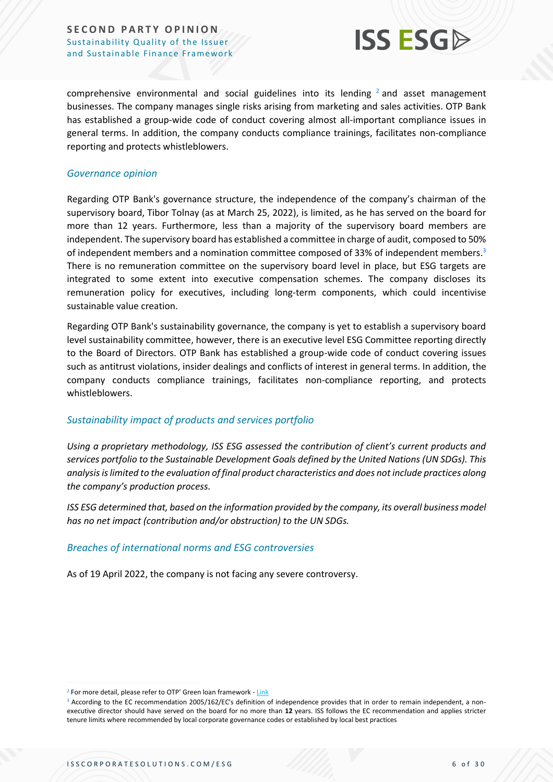

comprehensive environmental and social guidelines into its lending  $2$  and asset management businesses. The company manages single risks arising from marketing and sales activities. OTP Bank has established a group-wide code of conduct covering almost all-important compliance issues in general terms. In addition, the company conducts compliance trainings, facilitates non-compliance reporting and protects whistleblowers.

#### *Governance opinion*

Regarding OTP Bank's governance structure, the independence of the company's chairman of the supervisory board, Tibor Tolnay (as at March 25, 2022), is limited, as he has served on the board for more than 12 years. Furthermore, less than a majority of the supervisory board members are independent. The supervisory board has established a committee in charge of audit, composed to 50% of independent members and a nomination committee composed of 33% of independent members.<sup>3</sup> There is no remuneration committee on the supervisory board level in place, but ESG targets are integrated to some extent into executive compensation schemes. The company discloses its remuneration policy for executives, including long-term components, which could incentivise sustainable value creation.

Regarding OTP Bank's sustainability governance, the company is yet to establish a supervisory board level sustainability committee, however, there is an executive level ESG Committee reporting directly to the Board of Directors. OTP Bank has established a group-wide code of conduct covering issues such as antitrust violations, insider dealings and conflicts of interest in general terms. In addition, the company conducts compliance trainings, facilitates non-compliance reporting, and protects whistleblowers.

#### *Sustainability impact of products and services portfolio*

*Using a proprietary methodology, ISS ESG assessed the contribution of client's current products and services portfolio to the Sustainable Development Goals defined by the United Nations (UN SDGs). This analysis is limited to the evaluation of final product characteristics and does not include practices along the company's production process.* 

*ISS ESG determined that, based on the information provided by the company, its overall business model has no net impact (contribution and/or obstruction) to the UN SDGs.*

#### *Breaches of international norms and ESG controversies*

As of 19 April 2022, the company is not facing any severe controversy.

<sup>&</sup>lt;sup>2</sup> For more detail, please refer to OTP' Green loan framework - [Link](https://www.otpbank.hu/static/portal/sw/file/Green_loan_framework_ENG_20220301.pdf)

 $3$  According to the EC recommendation 2005/162/EC's definition of independence provides that in order to remain independent, a nonexecutive director should have served on the board for no more than **12** years. ISS follows the EC recommendation and applies stricter tenure limits where recommended by local corporate governance codes or established by local best practices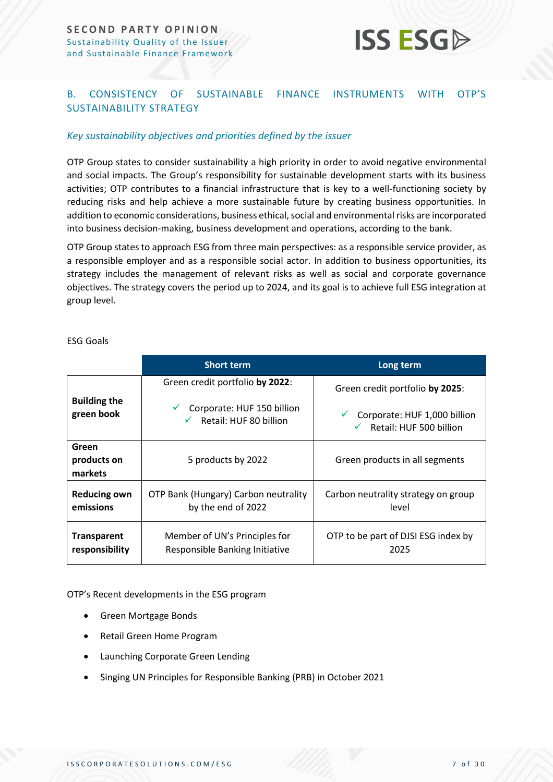

#### <span id="page-6-0"></span>B. CONSISTENCY OF SUSTAINABLE FINANCE INSTRUMENTS WITH OTP'S SUSTAINABILITY STRATEGY

#### *Key sustainability objectives and priorities defined by the issuer*

OTP Group states to consider sustainability a high priority in order to avoid negative environmental and social impacts. The Group's responsibility for sustainable development starts with its business activities; OTP contributes to a financial infrastructure that is key to a well-functioning society by reducing risks and help achieve a more sustainable future by creating business opportunities. In addition to economic considerations, business ethical, social and environmental risks are incorporated into business decision-making, business development and operations, according to the bank.

OTP Group states to approach ESG from three main perspectives: as a responsible service provider, as a responsible employer and as a responsible social actor. In addition to business opportunities, its strategy includes the management of relevant risks as well as social and corporate governance objectives. The strategy covers the period up to 2024, and its goal is to achieve full ESG integration at group level.

|                                 | <b>Short term</b>                    | Long term                            |
|---------------------------------|--------------------------------------|--------------------------------------|
|                                 | Green credit portfolio by 2022:      | Green credit portfolio by 2025:      |
| <b>Building the</b>             | Corporate: HUF 150 billion           | Corporate: HUF 1,000 billion         |
| green book                      | $\checkmark$ Retail: HUF 80 billion  | $\checkmark$ Retail: HUF 500 billion |
| Green<br>products on<br>markets | 5 products by 2022                   | Green products in all segments       |
| <b>Reducing own</b>             | OTP Bank (Hungary) Carbon neutrality | Carbon neutrality strategy on group  |
| emissions                       | by the end of 2022                   | level                                |
| <b>Transparent</b>              | Member of UN's Principles for        | OTP to be part of DJSI ESG index by  |
| responsibility                  | Responsible Banking Initiative       | 2025                                 |

ESG Goals

OTP's Recent developments in the ESG program

- Green Mortgage Bonds
- Retail Green Home Program
- Launching Corporate Green Lending
- Singing UN Principles for Responsible Banking (PRB) in October 2021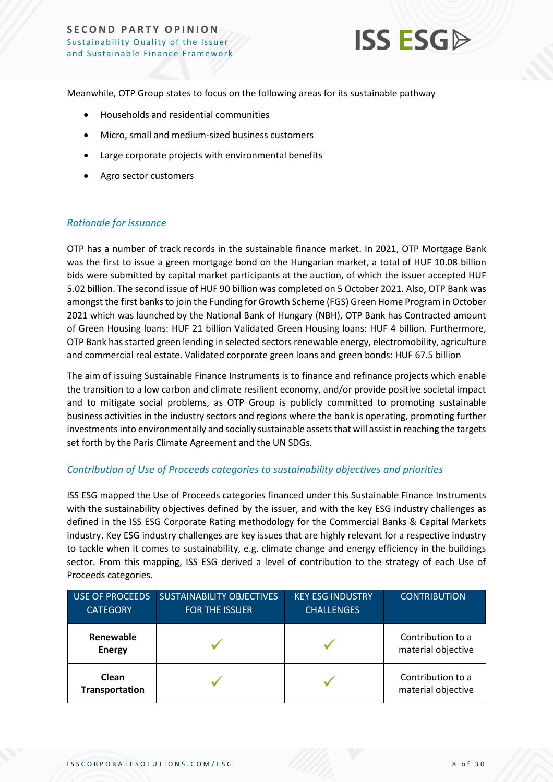

Meanwhile, OTP Group states to focus on the following areas for its sustainable pathway

- Households and residential communities
- Micro, small and medium-sized business customers
- Large corporate projects with environmental benefits
- Agro sector customers

#### *Rationale for issuance*

OTP has a number of track records in the sustainable finance market. In 2021, OTP Mortgage Bank was the first to issue a green mortgage bond on the Hungarian market, a total of HUF 10.08 billion bids were submitted by capital market participants at the auction, of which the issuer accepted HUF 5.02 billion. The second issue of HUF 90 billion was completed on 5 October 2021. Also, OTP Bank was amongst the first banks to join the Funding for Growth Scheme (FGS) Green Home Program in October 2021 which was launched by the National Bank of Hungary (NBH), OTP Bank has Contracted amount of Green Housing loans: HUF 21 billion Validated Green Housing loans: HUF 4 billion. Furthermore, OTP Bank has started green lending in selected sectors renewable energy, electromobility, agriculture and commercial real estate. Validated corporate green loans and green bonds: HUF 67.5 billion

The aim of issuing Sustainable Finance Instruments is to finance and refinance projects which enable the transition to a low carbon and climate resilient economy, and/or provide positive societal impact and to mitigate social problems, as OTP Group is publicly committed to promoting sustainable business activities in the industry sectors and regions where the bank is operating, promoting further investments into environmentally and socially sustainable assets that will assist in reaching the targets set forth by the Paris Climate Agreement and the UN SDGs.

#### *Contribution of Use of Proceeds categories to sustainability objectives and priorities*

ISS ESG mapped the Use of Proceeds categories financed under this Sustainable Finance Instruments with the sustainability objectives defined by the issuer, and with the key ESG industry challenges as defined in the ISS ESG Corporate Rating methodology for the Commercial Banks & Capital Markets industry. Key ESG industry challenges are key issues that are highly relevant for a respective industry to tackle when it comes to sustainability, e.g. climate change and energy efficiency in the buildings sector. From this mapping, ISS ESG derived a level of contribution to the strategy of each Use of Proceeds categories.

| <b>USE OF PROCEEDS</b><br><b>CATEGORY</b> | <b>SUSTAINABILITY OBJECTIVES</b><br><b>FOR THE ISSUER</b> | <b>KEY ESG INDUSTRY</b><br><b>CHALLENGES</b> | <b>CONTRIBUTION</b>                     |
|-------------------------------------------|-----------------------------------------------------------|----------------------------------------------|-----------------------------------------|
| Renewable<br><b>Energy</b>                |                                                           |                                              | Contribution to a<br>material objective |
| Clean<br><b>Transportation</b>            |                                                           |                                              | Contribution to a<br>material objective |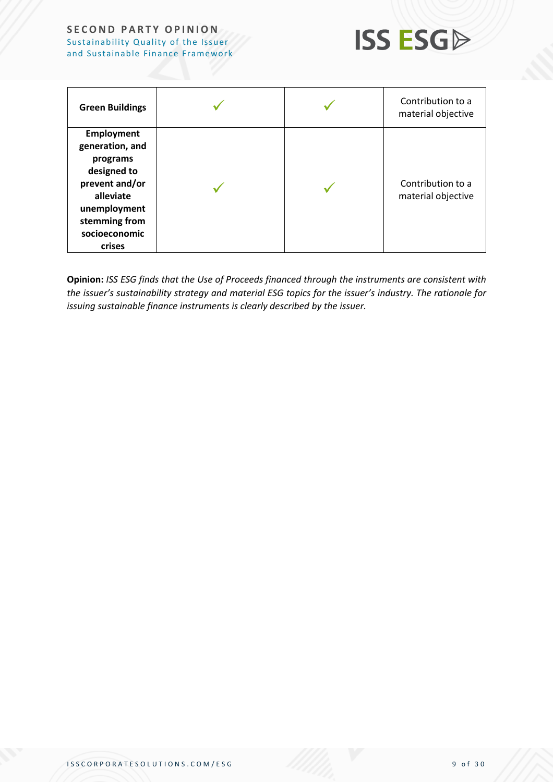

| <b>Green Buildings</b>                                                                                                                                     |  | Contribution to a<br>material objective |
|------------------------------------------------------------------------------------------------------------------------------------------------------------|--|-----------------------------------------|
| <b>Employment</b><br>generation, and<br>programs<br>designed to<br>prevent and/or<br>alleviate<br>unemployment<br>stemming from<br>socioeconomic<br>crises |  | Contribution to a<br>material objective |

**Opinion:** *ISS ESG finds that the Use of Proceeds financed through the instruments are consistent with the issuer's sustainability strategy and material ESG topics for the issuer's industry. The rationale for issuing sustainable finance instruments is clearly described by the issuer.*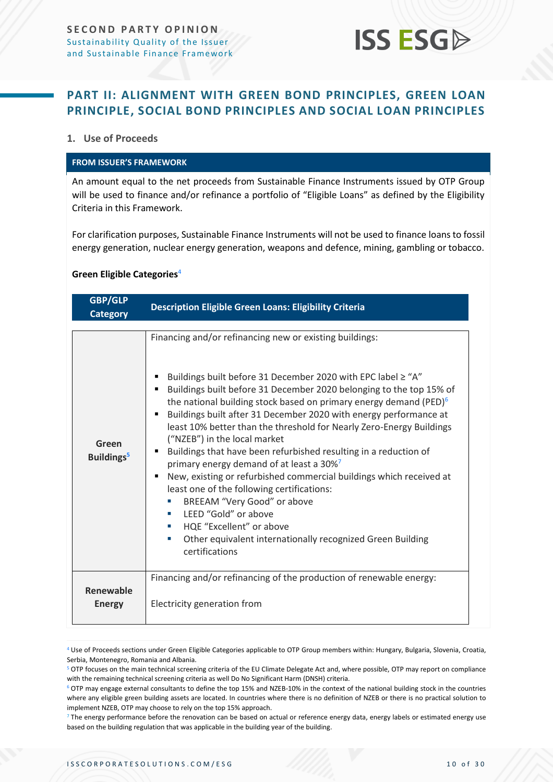<span id="page-9-1"></span>

### <span id="page-9-0"></span>**PART II: ALIGNMENT WITH GREEN BOND PRINCIPLES, GREEN LOAN PRINCIPLE, SOCIAL BOND PRINCIPLES AND SOCIAL LOAN PRINCIPLES**

#### **1. Use of Proceeds**

#### **FROM ISSUER'S FRAMEWORK**

An amount equal to the net proceeds from Sustainable Finance Instruments issued by OTP Group will be used to finance and/or refinance a portfolio of "Eligible Loans" as defined by the Eligibility Criteria in this Framework.

For clarification purposes, Sustainable Finance Instruments will not be used to finance loans to fossil energy generation, nuclear energy generation, weapons and defence, mining, gambling or tobacco.

#### **Green Eligible Categories**<sup>4</sup>

| <b>GBP/GLP</b><br><b>Category</b> | <b>Description Eligible Green Loans: Eligibility Criteria</b>                                                                                                                                                                                                                                                                                                                                                                                                                                                                                                                                                                                                                                                                                                                                                                                                                                          |
|-----------------------------------|--------------------------------------------------------------------------------------------------------------------------------------------------------------------------------------------------------------------------------------------------------------------------------------------------------------------------------------------------------------------------------------------------------------------------------------------------------------------------------------------------------------------------------------------------------------------------------------------------------------------------------------------------------------------------------------------------------------------------------------------------------------------------------------------------------------------------------------------------------------------------------------------------------|
| Green<br>Buildings <sup>5</sup>   | Financing and/or refinancing new or existing buildings:<br>Buildings built before 31 December 2020 with EPC label $\geq$ "A"<br>Buildings built before 31 December 2020 belonging to the top 15% of<br>the national building stock based on primary energy demand (PED) $6$<br>Buildings built after 31 December 2020 with energy performance at<br>least 10% better than the threshold for Nearly Zero-Energy Buildings<br>("NZEB") in the local market<br>Buildings that have been refurbished resulting in a reduction of<br>٠<br>primary energy demand of at least a 30% <sup>7</sup><br>New, existing or refurbished commercial buildings which received at<br>least one of the following certifications:<br>BREEAM "Very Good" or above<br>×.<br>LEED "Gold" or above<br>HQE "Excellent" or above<br>$\sim$<br>Other equivalent internationally recognized Green Building<br>×<br>certifications |
| Renewable<br><b>Energy</b>        | Financing and/or refinancing of the production of renewable energy:<br>Electricity generation from                                                                                                                                                                                                                                                                                                                                                                                                                                                                                                                                                                                                                                                                                                                                                                                                     |

<sup>4</sup> Use of Proceeds sections under Green Eligible Categories applicable to OTP Group members within: Hungary, Bulgaria, Slovenia, Croatia, Serbia, Montenegro, Romania and Albania.

<sup>5</sup> OTP focuses on the main technical screening criteria of the EU Climate Delegate Act and, where possible, OTP may report on compliance with the remaining technical screening criteria as well Do No Significant Harm (DNSH) criteria.

<sup>6</sup> OTP may engage external consultants to define the top 15% and NZEB-10% in the context of the national building stock in the countries where any eligible green building assets are located. In countries where there is no definition of NZEB or there is no practical solution to implement NZEB, OTP may choose to rely on the top 15% approach.

 $7$  The energy performance before the renovation can be based on actual or reference energy data, energy labels or estimated energy use based on the building regulation that was applicable in the building year of the building.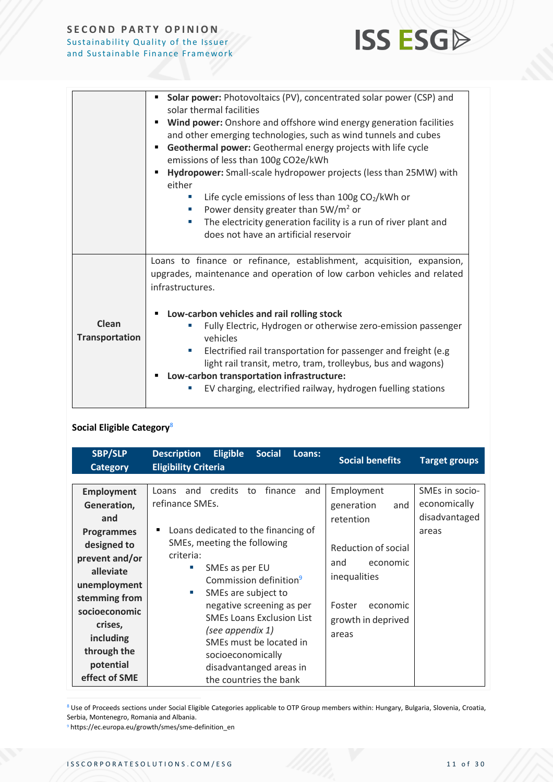

|                         | Solar power: Photovoltaics (PV), concentrated solar power (CSP) and<br>solar thermal facilities<br>Wind power: Onshore and offshore wind energy generation facilities<br>٠<br>and other emerging technologies, such as wind tunnels and cubes<br>Geothermal power: Geothermal energy projects with life cycle<br>٠<br>emissions of less than 100g CO2e/kWh<br>Hydropower: Small-scale hydropower projects (less than 25MW) with<br>either<br>Life cycle emissions of less than $100g \text{ CO}_2/kWh$ or<br>Power density greater than $5W/m^2$ or<br>ш<br>The electricity generation facility is a run of river plant and<br>$\mathcal{L}_{\mathcal{A}}$ |  |
|-------------------------|------------------------------------------------------------------------------------------------------------------------------------------------------------------------------------------------------------------------------------------------------------------------------------------------------------------------------------------------------------------------------------------------------------------------------------------------------------------------------------------------------------------------------------------------------------------------------------------------------------------------------------------------------------|--|
|                         | does not have an artificial reservoir                                                                                                                                                                                                                                                                                                                                                                                                                                                                                                                                                                                                                      |  |
|                         | Loans to finance or refinance, establishment, acquisition, expansion,<br>upgrades, maintenance and operation of low carbon vehicles and related<br>infrastructures.                                                                                                                                                                                                                                                                                                                                                                                                                                                                                        |  |
|                         | Low-carbon vehicles and rail rolling stock                                                                                                                                                                                                                                                                                                                                                                                                                                                                                                                                                                                                                 |  |
| Clean<br>Transportation | Fully Electric, Hydrogen or otherwise zero-emission passenger<br>ш<br>vehicles                                                                                                                                                                                                                                                                                                                                                                                                                                                                                                                                                                             |  |
|                         | Electrified rail transportation for passenger and freight (e.g.<br>$\mathcal{L}_{\mathcal{A}}$<br>light rail transit, metro, tram, trolleybus, bus and wagons)<br>Low-carbon transportation infrastructure:                                                                                                                                                                                                                                                                                                                                                                                                                                                |  |
|                         | EV charging, electrified railway, hydrogen fuelling stations<br>ш                                                                                                                                                                                                                                                                                                                                                                                                                                                                                                                                                                                          |  |

### **Social Eligible Category**<sup>8</sup>

| <b>SBP/SLP</b><br><b>Category</b>                                                                                                                                                                                                 | <b>Eligible</b><br><b>Description</b><br><b>Social</b><br>Loans:<br><b>Eligibility Criteria</b>                                                                                                                                                                                                                                                                                                                                              | <b>Social benefits</b>                                                                                                                                      | <b>Target groups</b>                                     |
|-----------------------------------------------------------------------------------------------------------------------------------------------------------------------------------------------------------------------------------|----------------------------------------------------------------------------------------------------------------------------------------------------------------------------------------------------------------------------------------------------------------------------------------------------------------------------------------------------------------------------------------------------------------------------------------------|-------------------------------------------------------------------------------------------------------------------------------------------------------------|----------------------------------------------------------|
| <b>Employment</b><br>Generation,<br>and<br><b>Programmes</b><br>designed to<br>prevent and/or<br>alleviate<br>unemployment<br>stemming from<br>socioeconomic<br>crises,<br>including<br>through the<br>potential<br>effect of SME | credits to<br>finance<br>and<br>and<br>Loans<br>refinance SMEs.<br>Loans dedicated to the financing of<br>٠<br>SMEs, meeting the following<br>criteria:<br>SMEs as per EU<br>×.<br>Commission definition <sup>9</sup><br>SMEs are subject to<br>×.<br>negative screening as per<br><b>SMEs Loans Exclusion List</b><br>(see appendix 1)<br>SMEs must be located in<br>socioeconomically<br>disadvantanged areas in<br>the countries the bank | Employment<br>generation<br>and<br>retention<br>Reduction of social<br>economic<br>and<br>inequalities<br>Foster<br>economic<br>growth in deprived<br>areas | SMEs in socio-<br>economically<br>disadvantaged<br>areas |

8 Use of Proceeds sections under Social Eligible Categories applicable to OTP Group members within: Hungary, Bulgaria, Slovenia, Croatia, Serbia, Montenegro, Romania and Albania.

<sup>9</sup> https://ec.europa.eu/growth/smes/sme-definition\_en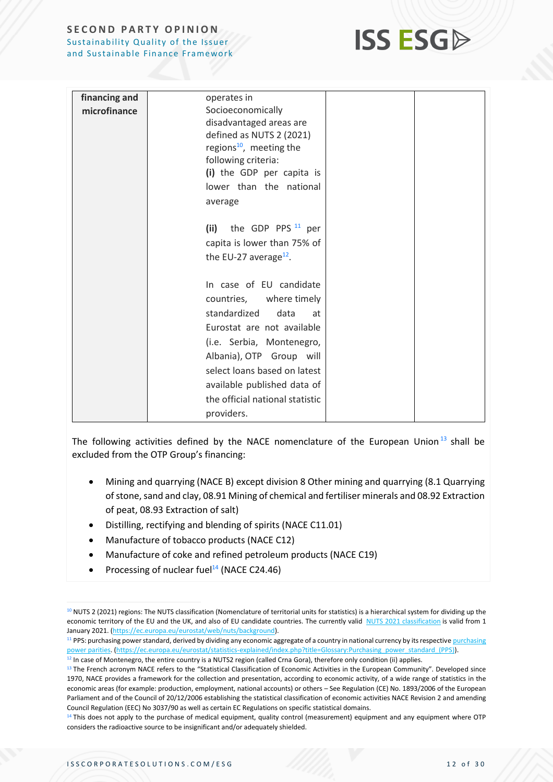

| financing and | operates in                                                                                                                                                                                                                                                                             |  |
|---------------|-----------------------------------------------------------------------------------------------------------------------------------------------------------------------------------------------------------------------------------------------------------------------------------------|--|
| microfinance  | Socioeconomically<br>disadvantaged areas are<br>defined as NUTS 2 (2021)<br>regions <sup>10</sup> , meeting the<br>following criteria:<br>(i) the GDP per capita is<br>lower than the national<br>average                                                                               |  |
|               | the GDP PPS $11$ per<br>(ii)<br>capita is lower than 75% of<br>the EU-27 average <sup>12</sup> .                                                                                                                                                                                        |  |
|               | In case of EU candidate<br>countries, where timely<br>standardized<br>data<br>at<br>Eurostat are not available<br>(i.e. Serbia, Montenegro,<br>Albania), OTP Group will<br>select loans based on latest<br>available published data of<br>the official national statistic<br>providers. |  |

The following activities defined by the NACE nomenclature of the European Union<sup>13</sup> shall be excluded from the OTP Group's financing:

- Mining and quarrying (NACE B) except division 8 Other mining and quarrying (8.1 Quarrying of stone, sand and clay, 08.91 Mining of chemical and fertiliser minerals and 08.92 Extraction of peat, 08.93 Extraction of salt)
- Distilling, rectifying and blending of spirits (NACE C11.01)
- Manufacture of tobacco products (NACE C12)
- Manufacture of coke and refined petroleum products (NACE C19)
- Processing of nuclear fuel<sup>14</sup> (NACE C24.46)

<sup>&</sup>lt;sup>10</sup> NUTS 2 (2021) regions: The NUTS classification (Nomenclature of territorial units for statistics) is a hierarchical system for dividing up the economic territory of the EU and the UK, and also of EU candidate countries. The currently valid [NUTS 2021 classification](https://eur02.safelinks.protection.outlook.com/?url=https%3A%2F%2Fec.europa.eu%2Feurostat%2Fdocuments%2F345175%2F629341%2FNUTS2021.xlsx&data=04%7C01%7Cvittorio.bottini%40ing.com%7C352e7eb033cf41ad16e808da090588a6%7C587b6ea13db94fe1a9d785d4c64ce5cc%7C0%7C0%7C637832216609211191%7CUnknown%7CTWFpbGZsb3d8eyJWIjoiMC4wLjAwMDAiLCJQIjoiV2luMzIiLCJBTiI6Ik1haWwiLCJXVCI6Mn0%3D%7C3000&sdata=RD47wIoeshUz2feF2LzQijxpfTBd42EhQAA3H1FQKR8%3D&reserved=0) is valid from 1 January 2021. [\(https://ec.europa.eu/eurostat/web/nuts/background\)](https://eur02.safelinks.protection.outlook.com/?url=https%3A%2F%2Fec.europa.eu%2Feurostat%2Fweb%2Fnuts%2Fbackground&data=04%7C01%7Cvittorio.bottini%40ing.com%7C352e7eb033cf41ad16e808da090588a6%7C587b6ea13db94fe1a9d785d4c64ce5cc%7C0%7C0%7C637832216609211191%7CUnknown%7CTWFpbGZsb3d8eyJWIjoiMC4wLjAwMDAiLCJQIjoiV2luMzIiLCJBTiI6Ik1haWwiLCJXVCI6Mn0%3D%7C3000&sdata=NadoRC7FFSrCwoFzKdANeSu%2FmZU8%2FhDyDFEK%2FW9w7lM%3D&reserved=0).

<sup>&</sup>lt;sup>11</sup> PPS: [purchasing](https://eur02.safelinks.protection.outlook.com/?url=https%3A%2F%2Fec.europa.eu%2Feurostat%2Fstatistics-explained%2Findex.php%3Ftitle%3DGlossary%3APurchasing_power_parities_(PPPs)&data=04%7C01%7Cvittorio.bottini%40ing.com%7C352e7eb033cf41ad16e808da090588a6%7C587b6ea13db94fe1a9d785d4c64ce5cc%7C0%7C0%7C637832216609211191%7CUnknown%7CTWFpbGZsb3d8eyJWIjoiMC4wLjAwMDAiLCJQIjoiV2luMzIiLCJBTiI6Ik1haWwiLCJXVCI6Mn0%3D%7C3000&sdata=WU6JBYYAqP6DZggc3DZ3P%2Bqt%2FMnVqrI4pUzkzX4kAOg%3D&reserved=0) power standard, derived by dividing any economic aggregate of a country in national currency by its respective purchasing [power parities.](https://eur02.safelinks.protection.outlook.com/?url=https%3A%2F%2Fec.europa.eu%2Feurostat%2Fstatistics-explained%2Findex.php%3Ftitle%3DGlossary%3APurchasing_power_parities_(PPPs)&data=04%7C01%7Cvittorio.bottini%40ing.com%7C352e7eb033cf41ad16e808da090588a6%7C587b6ea13db94fe1a9d785d4c64ce5cc%7C0%7C0%7C637832216609211191%7CUnknown%7CTWFpbGZsb3d8eyJWIjoiMC4wLjAwMDAiLCJQIjoiV2luMzIiLCJBTiI6Ik1haWwiLCJXVCI6Mn0%3D%7C3000&sdata=WU6JBYYAqP6DZggc3DZ3P%2Bqt%2FMnVqrI4pUzkzX4kAOg%3D&reserved=0) [\(https://ec.europa.eu/eurostat/statistics-explained/index.php?title=Glossary:Purchasing\\_power\\_standard\\_\(PPS\)\)](https://eur02.safelinks.protection.outlook.com/?url=https%3A%2F%2Fec.europa.eu%2Feurostat%2Fstatistics-explained%2Findex.php%3Ftitle%3DGlossary%3APurchasing_power_standard_(PPS)&data=04%7C01%7Cvittorio.bottini%40ing.com%7C352e7eb033cf41ad16e808da090588a6%7C587b6ea13db94fe1a9d785d4c64ce5cc%7C0%7C0%7C637832216609211191%7CUnknown%7CTWFpbGZsb3d8eyJWIjoiMC4wLjAwMDAiLCJQIjoiV2luMzIiLCJBTiI6Ik1haWwiLCJXVCI6Mn0%3D%7C3000&sdata=1u4PXgziTkuRrC6qgM5jWGGU2Dre76ODLuhoPoz0CH0%3D&reserved=0).  $12$  In case of Montenegro, the entire country is a NUTS2 region (called Crna Gora), therefore only condition (ii) applies.

<sup>&</sup>lt;sup>13</sup> The French acronym NACE refers to the "Statistical Classification of Economic Activities in the European Community". Developed since 1970, NACE provides a framework for the collection and presentation, according to economic activity, of a wide range of statistics in the economic areas (for example: production, employment, national accounts) or others – See Regulation (CE) No. 1893/2006 of the European Parliament and of the Council of 20/12/2006 establishing the statistical classification of economic activities NACE Revision 2 and amending Council Regulation (EEC) No 3037/90 as well as certain EC Regulations on specific statistical domains.

<sup>&</sup>lt;sup>14</sup> This does not apply to the purchase of medical equipment, quality control (measurement) equipment and any equipment where OTP considers the radioactive source to be insignificant and/or adequately shielded.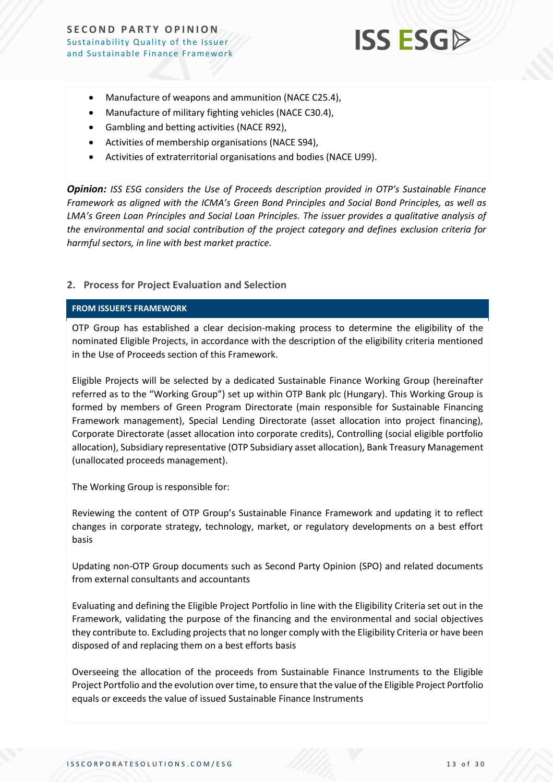

- Manufacture of weapons and ammunition (NACE C25.4),
- Manufacture of military fighting vehicles (NACE C30.4),
- Gambling and betting activities (NACE R92),
- Activities of membership organisations (NACE S94),
- Activities of extraterritorial organisations and bodies (NACE U99).

*Opinion: ISS ESG considers the Use of Proceeds description provided in OTP's Sustainable Finance Framework as aligned with the ICMA's Green Bond Principles and Social Bond Principles, as well as LMA's Green Loan Principles and Social Loan Principles. The issuer provides a qualitative analysis of the environmental and social contribution of the project category and defines exclusion criteria for harmful sectors, in line with best market practice.*

#### **2. Process for Project Evaluation and Selection**

#### **FROM ISSUER'S FRAMEWORK**

OTP Group has established a clear decision-making process to determine the eligibility of the nominated Eligible Projects, in accordance with the description of the eligibility criteria mentioned in the Use of Proceeds section of this Framework.

Eligible Projects will be selected by a dedicated Sustainable Finance Working Group (hereinafter referred as to the "Working Group") set up within OTP Bank plc (Hungary). This Working Group is formed by members of Green Program Directorate (main responsible for Sustainable Financing Framework management), Special Lending Directorate (asset allocation into project financing), Corporate Directorate (asset allocation into corporate credits), Controlling (social eligible portfolio allocation), Subsidiary representative (OTP Subsidiary asset allocation), Bank Treasury Management (unallocated proceeds management).

The Working Group is responsible for:

Reviewing the content of OTP Group's Sustainable Finance Framework and updating it to reflect changes in corporate strategy, technology, market, or regulatory developments on a best effort basis

Updating non-OTP Group documents such as Second Party Opinion (SPO) and related documents from external consultants and accountants

Evaluating and defining the Eligible Project Portfolio in line with the Eligibility Criteria set out in the Framework, validating the purpose of the financing and the environmental and social objectives they contribute to. Excluding projects that no longer comply with the Eligibility Criteria or have been disposed of and replacing them on a best efforts basis

Overseeing the allocation of the proceeds from Sustainable Finance Instruments to the Eligible Project Portfolio and the evolution over time, to ensure that the value of the Eligible Project Portfolio equals or exceeds the value of issued Sustainable Finance Instruments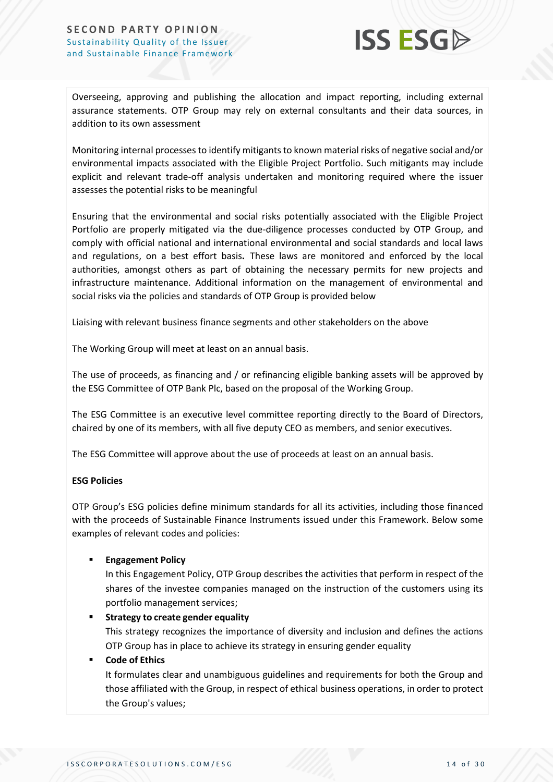

Overseeing, approving and publishing the allocation and impact reporting, including external assurance statements. OTP Group may rely on external consultants and their data sources, in addition to its own assessment

Monitoring internal processes to identify mitigants to known material risks of negative social and/or environmental impacts associated with the Eligible Project Portfolio. Such mitigants may include explicit and relevant trade-off analysis undertaken and monitoring required where the issuer assesses the potential risks to be meaningful

Ensuring that the environmental and social risks potentially associated with the Eligible Project Portfolio are properly mitigated via the due-diligence processes conducted by OTP Group, and comply with official national and international environmental and social standards and local laws and regulations, on a best effort basis**.** These laws are monitored and enforced by the local authorities, amongst others as part of obtaining the necessary permits for new projects and infrastructure maintenance. Additional information on the management of environmental and social risks via the policies and standards of OTP Group is provided below

Liaising with relevant business finance segments and other stakeholders on the above

The Working Group will meet at least on an annual basis.

The use of proceeds, as financing and / or refinancing eligible banking assets will be approved by the ESG Committee of OTP Bank Plc, based on the proposal of the Working Group.

The ESG Committee is an executive level committee reporting directly to the Board of Directors, chaired by one of its members, with all five deputy CEO as members, and senior executives.

The ESG Committee will approve about the use of proceeds at least on an annual basis.

#### **ESG Policies**

OTP Group's ESG policies define minimum standards for all its activities, including those financed with the proceeds of Sustainable Finance Instruments issued under this Framework. Below some examples of relevant codes and policies:

#### **Engagement Policy**

In this Engagement Policy, OTP Group describes the activities that perform in respect of the shares of the investee companies managed on the instruction of the customers using its portfolio management services;

#### **Strategy to create gender equality**

This strategy recognizes the importance of diversity and inclusion and defines the actions OTP Group has in place to achieve its strategy in ensuring gender equality

#### **Code of Ethics**

It formulates clear and unambiguous guidelines and requirements for both the Group and those affiliated with the Group, in respect of ethical business operations, in order to protect the Group's values;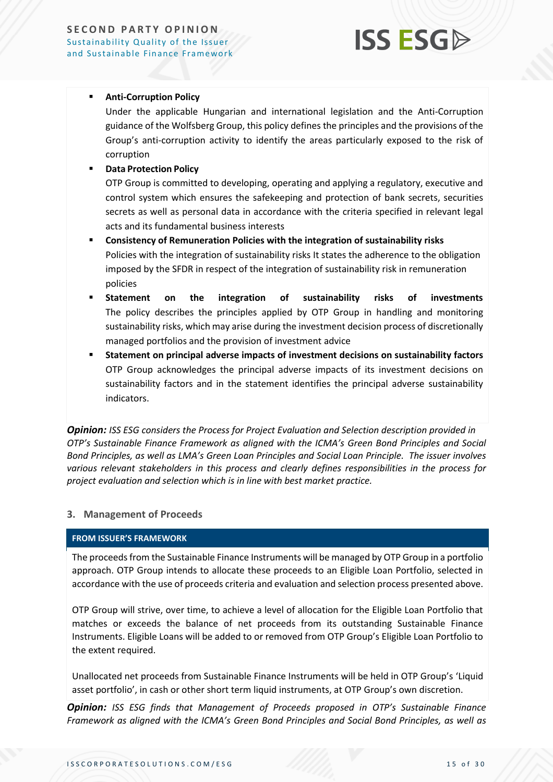## **ISS ESG**

#### **E** Anti-Corruption Policy

Under the applicable Hungarian and international legislation and the Anti-Corruption guidance of the Wolfsberg Group, this policy defines the principles and the provisions of the Group's anti-corruption activity to identify the areas particularly exposed to the risk of corruption

#### **Data Protection Policy**

OTP Group is committed to developing, operating and applying a regulatory, executive and control system which ensures the safekeeping and protection of bank secrets, securities secrets as well as personal data in accordance with the criteria specified in relevant legal acts and its fundamental business interests

- **Consistency of Remuneration Policies with the integration of sustainability risks**  Policies with the integration of sustainability risks It states the adherence to the obligation imposed by the SFDR in respect of the integration of sustainability risk in remuneration policies
- **Statement on the integration of sustainability risks of investments**  The policy describes the principles applied by OTP Group in handling and monitoring sustainability risks, which may arise during the investment decision process of discretionally managed portfolios and the provision of investment advice
- **Statement on principal adverse impacts of investment decisions on sustainability factors** OTP Group acknowledges the principal adverse impacts of its investment decisions on sustainability factors and in the statement identifies the principal adverse sustainability indicators.

*Opinion: ISS ESG considers the Process for Project Evaluation and Selection description provided in OTP's Sustainable Finance Framework as aligned with the ICMA's Green Bond Principles and Social Bond Principles, as well as LMA's Green Loan Principles and Social Loan Principle. The issuer involves various relevant stakeholders in this process and clearly defines responsibilities in the process for project evaluation and selection which is in line with best market practice.* 

#### **3. Management of Proceeds**

#### **FROM ISSUER'S FRAMEWORK**

The proceeds from the Sustainable Finance Instruments will be managed by OTP Group in a portfolio approach. OTP Group intends to allocate these proceeds to an Eligible Loan Portfolio, selected in accordance with the use of proceeds criteria and evaluation and selection process presented above.

OTP Group will strive, over time, to achieve a level of allocation for the Eligible Loan Portfolio that matches or exceeds the balance of net proceeds from its outstanding Sustainable Finance Instruments. Eligible Loans will be added to or removed from OTP Group's Eligible Loan Portfolio to the extent required.

Unallocated net proceeds from Sustainable Finance Instruments will be held in OTP Group's 'Liquid asset portfolio', in cash or other short term liquid instruments, at OTP Group's own discretion.

*Opinion: ISS ESG finds that Management of Proceeds proposed in OTP's Sustainable Finance Framework as aligned with the ICMA's Green Bond Principles and Social Bond Principles, as well as*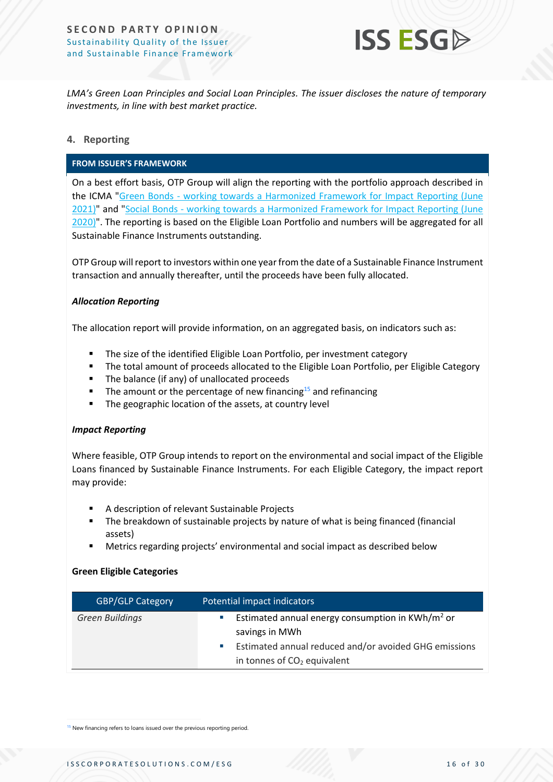

*LMA's Green Loan Principles and Social Loan Principles. The issuer discloses the nature of temporary investments, in line with best market practice.*

#### **4. Reporting**

#### **FROM ISSUER'S FRAMEWORK**

On a best effort basis, OTP Group will align the reporting with the portfolio approach described in the ICMA "Green Bonds - [working towards a Harmonized Framework for Impact Reporting \(June](https://www.icmagroup.org/assets/documents/Regulatory/Green-Bonds/Handbook-Harmonized-Framework-for-Impact-Reporting-December-2020-151220.pdf)  [2021\)"](https://www.icmagroup.org/assets/documents/Regulatory/Green-Bonds/Handbook-Harmonized-Framework-for-Impact-Reporting-December-2020-151220.pdf) and "Social Bonds - [working towards a Harmonized Framework for Impact Reporting \(June](https://www.icmagroup.org/assets/documents/Regulatory/Green-Bonds/June-2020/Harmonized-Framework-for-Impact-Reporting-for-Social-BondsJune-2020-090620.pdf)  [2020\)".](https://www.icmagroup.org/assets/documents/Regulatory/Green-Bonds/June-2020/Harmonized-Framework-for-Impact-Reporting-for-Social-BondsJune-2020-090620.pdf) The reporting is based on the Eligible Loan Portfolio and numbers will be aggregated for all Sustainable Finance Instruments outstanding.

OTP Group will report to investors within one year from the date of a Sustainable Finance Instrument transaction and annually thereafter, until the proceeds have been fully allocated.

#### *Allocation Reporting*

The allocation report will provide information, on an aggregated basis, on indicators such as:

- The size of the identified Eligible Loan Portfolio, per investment category
- **•** The total amount of proceeds allocated to the Eligible Loan Portfolio, per Eligible Category
- The balance (if any) of unallocated proceeds
- The amount or the percentage of new financing<sup>15</sup> and refinancing
- The geographic location of the assets, at country level

#### *Impact Reporting*

Where feasible, OTP Group intends to report on the environmental and social impact of the Eligible Loans financed by Sustainable Finance Instruments. For each Eligible Category, the impact report may provide:

- A description of relevant Sustainable Projects
- The breakdown of sustainable projects by nature of what is being financed (financial assets)
- Metrics regarding projects' environmental and social impact as described below

#### **Green Eligible Categories**

| <b>GBP/GLP Category</b> | Potential impact indicators                                                                                                                                                          |
|-------------------------|--------------------------------------------------------------------------------------------------------------------------------------------------------------------------------------|
| <b>Green Buildings</b>  | Estimated annual energy consumption in KWh/m <sup>2</sup> or<br>×.<br>savings in MWh<br>Estimated annual reduced and/or avoided GHG emissions<br>×.<br>in tonnes of $CO2$ equivalent |

<sup>15</sup> New financing refers to loans issued over the previous reporting period.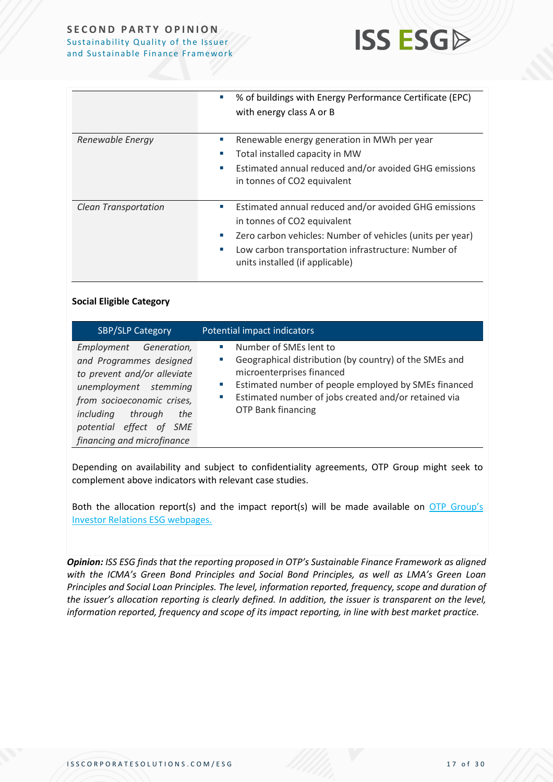

|                             | % of buildings with Energy Performance Certificate (EPC)<br>×,<br>with energy class A or B                                                                                                                                                                                           |
|-----------------------------|--------------------------------------------------------------------------------------------------------------------------------------------------------------------------------------------------------------------------------------------------------------------------------------|
| Renewable Energy            | Renewable energy generation in MWh per year<br>ш<br>Total installed capacity in MW<br>×.<br>Estimated annual reduced and/or avoided GHG emissions<br>×.<br>in tonnes of CO2 equivalent                                                                                               |
| <b>Clean Transportation</b> | Estimated annual reduced and/or avoided GHG emissions<br>$\mathcal{L}_{\mathcal{A}}$<br>in tonnes of CO2 equivalent<br>Zero carbon vehicles: Number of vehicles (units per year)<br>ш<br>Low carbon transportation infrastructure: Number of<br>ш<br>units installed (if applicable) |

#### **Social Eligible Category**

| <b>SBP/SLP Category</b>                                                                                                                                                                                                         | Potential impact indicators                                                                                                                                                                                                                                                               |
|---------------------------------------------------------------------------------------------------------------------------------------------------------------------------------------------------------------------------------|-------------------------------------------------------------------------------------------------------------------------------------------------------------------------------------------------------------------------------------------------------------------------------------------|
| Employment Generation,<br>and Programmes designed<br>to prevent and/or alleviate<br>unemployment stemming<br>from socioeconomic crises,<br>through<br>including<br>the<br>potential effect of SME<br>financing and microfinance | Number of SMEs lent to<br>$\mathcal{L}_{\mathcal{A}}$<br>Geographical distribution (by country) of the SMEs and<br>microenterprises financed<br>Estimated number of people employed by SMEs financed<br>Estimated number of jobs created and/or retained via<br><b>OTP Bank financing</b> |

Depending on availability and subject to confidentiality agreements, OTP Group might seek to complement above indicators with relevant case studies.

Both the allocation report(s) and the impact report(s) will be made available on OTP Group's [Investor Relations ESG webpages.](https://www.otpbank.hu/portal/en/Investor_relations/ESG)

*Opinion: ISS ESG finds that the reporting proposed in OTP's Sustainable Finance Framework as aligned with the ICMA's Green Bond Principles and Social Bond Principles, as well as LMA's Green Loan Principles and Social Loan Principles. The level, information reported, frequency, scope and duration of the issuer's allocation reporting is clearly defined. In addition, the issuer is transparent on the level, information reported, frequency and scope of its impact reporting, in line with best market practice.*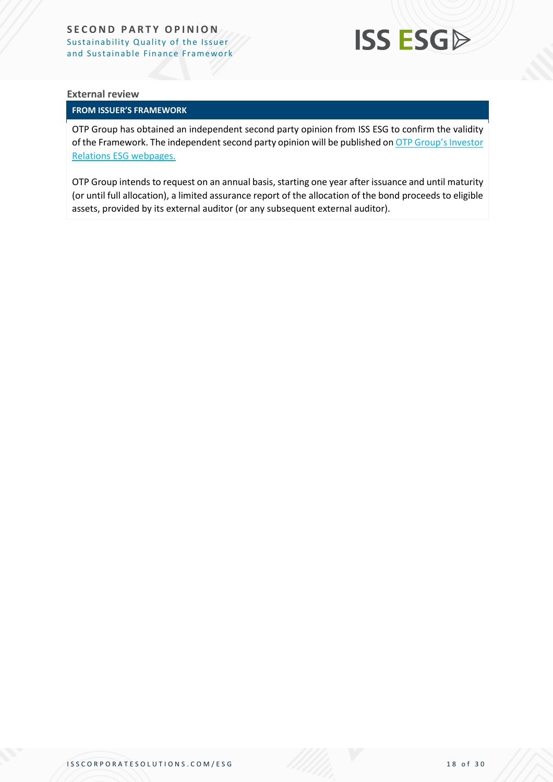

#### **External review**

#### **FROM ISSUER'S FRAMEWORK**

OTP Group has obtained an independent second party opinion from ISS ESG to confirm the validity of the Framework. The independent second party opinion will be published on [OTP Group's Investor](https://www.otpbank.hu/portal/en/Investor_relations/ESG)  [Relations ESG webpages.](https://www.otpbank.hu/portal/en/Investor_relations/ESG)

OTP Group intends to request on an annual basis, starting one year after issuance and until maturity (or until full allocation), a limited assurance report of the allocation of the bond proceeds to eligible assets, provided by its external auditor (or any subsequent external auditor).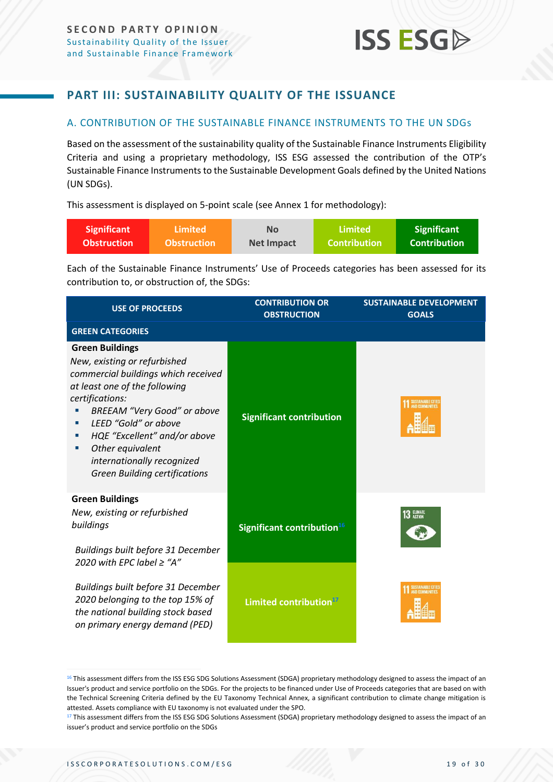### <span id="page-18-0"></span>**PART III: SUSTAINABILITY QUALITY OF THE ISSUANCE**

#### <span id="page-18-1"></span>A. CONTRIBUTION OF THE SUSTAINABLE FINANCE INSTRUMENTS TO THE UN SDGs

Based on the assessment of the sustainability quality of the Sustainable Finance Instruments Eligibility Criteria and using a proprietary methodology, ISS ESG assessed the contribution of the OTP's Sustainable Finance Instruments to the Sustainable Development Goals defined by the United Nations (UN SDGs).

This assessment is displayed on 5-point scale (see Annex 1 for methodology):

| Significant | <b>\Limited</b>    | <b>No</b>         | Limited             | Significant         |
|-------------|--------------------|-------------------|---------------------|---------------------|
| Obstruction | <b>Obstruction</b> | <b>Net Impact</b> | <b>Contribution</b> | <b>Contribution</b> |

Each of the Sustainable Finance Instruments' Use of Proceeds categories has been assessed for its contribution to, or obstruction of, the SDGs:

| <b>USE OF PROCEEDS</b>                                                                                                                                                                                                                                                                                                                               | <b>CONTRIBUTION OR</b><br><b>OBSTRUCTION</b> | <b>SUSTAINABLE DEVELOPMENT</b><br><b>GOALS</b> |
|------------------------------------------------------------------------------------------------------------------------------------------------------------------------------------------------------------------------------------------------------------------------------------------------------------------------------------------------------|----------------------------------------------|------------------------------------------------|
| <b>GREEN CATEGORIES</b>                                                                                                                                                                                                                                                                                                                              |                                              |                                                |
| <b>Green Buildings</b><br>New, existing or refurbished<br>commercial buildings which received<br>at least one of the following<br>certifications:<br><b>BREEAM "Very Good" or above</b><br>LEED "Gold" or above<br>HQE "Excellent" and/or above<br>×<br>Other equivalent<br>a.<br>internationally recognized<br><b>Green Building certifications</b> | <b>Significant contribution</b>              | SUSTAINABLE CITIE                              |
| <b>Green Buildings</b><br>New, existing or refurbished<br>buildings<br>Buildings built before 31 December<br>2020 with EPC label $\geq$ "A"                                                                                                                                                                                                          | Significant contribution <sup>16</sup>       | 13 CLIMATE                                     |
| Buildings built before 31 December<br>2020 belonging to the top 15% of<br>the national building stock based<br>on primary energy demand (PED)                                                                                                                                                                                                        | Limited contribution <sup>17</sup>           | SUSTAINABLE CITIE                              |

<span id="page-18-3"></span><span id="page-18-2"></span><sup>&</sup>lt;sup>16</sup> This assessment differs from the ISS ESG SDG Solutions Assessment (SDGA) proprietary methodology designed to assess the impact of an Issuer's product and service portfolio on the SDGs. For the projects to be financed under Use of Proceeds categories that are based on with the Technical Screening Criteria defined by the EU Taxonomy Technical Annex, a significant contribution to climate change mitigation is attested. Assets compliance with EU taxonomy is not evaluated under the SPO.

<sup>&</sup>lt;sup>17</sup> This assessment differs from the ISS ESG SDG Solutions Assessment (SDGA) proprietary methodology designed to assess the impact of an issuer's product and service portfolio on the SDGs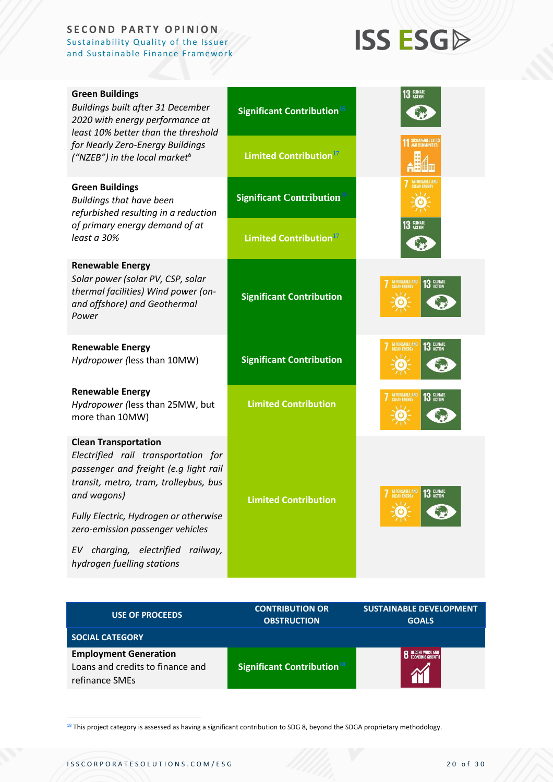## **ISS ESG**

| <b>Green Buildings</b><br>Buildings built after 31 December<br>2020 with energy performance at<br>least 10% better than the threshold                                                                                                                                                                                     | Significant Contribution <sup>16</sup> | <b>13 CLIMATE</b>                                    |
|---------------------------------------------------------------------------------------------------------------------------------------------------------------------------------------------------------------------------------------------------------------------------------------------------------------------------|----------------------------------------|------------------------------------------------------|
| for Nearly Zero-Energy Buildings<br>("NZEB") in the local market <sup>6</sup>                                                                                                                                                                                                                                             | Limited Contribution <sup>17</sup>     | <b>SUSTAINABLE CIT</b>                               |
| <b>Green Buildings</b><br><b>Buildings that have been</b><br>refurbished resulting in a reduction                                                                                                                                                                                                                         | Significant Contribution <sup>16</sup> |                                                      |
| of primary energy demand of at<br>least a 30%                                                                                                                                                                                                                                                                             | Limited Contribution <sup>17</sup>     | 13 CLIMATE                                           |
| <b>Renewable Energy</b><br>Solar power (solar PV, CSP, solar<br>thermal facilities) Wind power (on-<br>and offshore) and Geothermal<br>Power                                                                                                                                                                              | <b>Significant Contribution</b>        | AFFORDABLE AND<br>CLEAN ENERGY<br>13 CLIMATE         |
| <b>Renewable Energy</b><br>Hydropower (less than 10MW)                                                                                                                                                                                                                                                                    | <b>Significant Contribution</b>        | AFFORDABLE AND<br>CLEAN ENERGY<br>13 CLIMATE         |
| <b>Renewable Energy</b><br>Hydropower (less than 25MW, but<br>more than 10MW)                                                                                                                                                                                                                                             | <b>Limited Contribution</b>            | 13 CLIMATE                                           |
| <b>Clean Transportation</b><br>Electrified rail transportation for<br>passenger and freight (e.g light rail<br>transit, metro, tram, trolleybus, bus<br>and wagons)<br>Fully Electric, Hydrogen or otherwise<br>zero-emission passenger vehicles<br>charging, electrified<br>railway,<br>EV<br>hydrogen fuelling stations | <b>Limited Contribution</b>            | <b>AFFORDABLE AND</b><br>13 CLIMATE<br><b>ACTION</b> |
|                                                                                                                                                                                                                                                                                                                           |                                        |                                                      |

| <b>USE OF PROCEEDS</b>                                                             | <b>CONTRIBUTION OR</b><br><b>OBSTRUCTION</b>  | <b>SUSTAINABLE DEVELOPMENT</b><br><b>GOALS</b> |
|------------------------------------------------------------------------------------|-----------------------------------------------|------------------------------------------------|
| <b>SOCIAL CATEGORY</b>                                                             |                                               |                                                |
| <b>Employment Generation</b><br>Loans and credits to finance and<br>refinance SMEs | <b>Significant Contribution</b> <sup>18</sup> |                                                |

<sup>18</sup> This project category is assessed as having a significant contribution to SDG 8, beyond the SDGA proprietary methodology.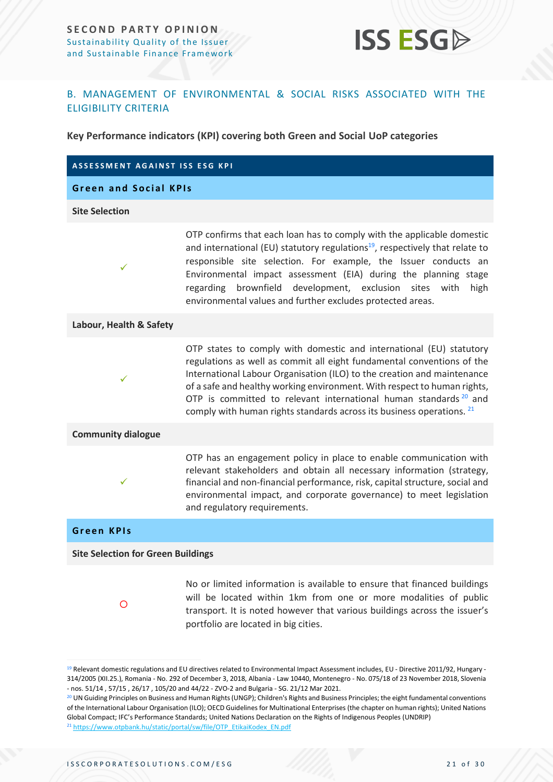

#### <span id="page-20-0"></span>B. MANAGEMENT OF ENVIRONMENTAL & SOCIAL RISKS ASSOCIATED WITH THE ELIGIBILITY CRITERIA

**Key Performance indicators (KPI) covering both Green and Social UoP categories**

| <b>ASSESSMENT AGAINST ISS ESG KPI</b>     |                                                                                                                                                                                                                                                                                                                                                                                                                                                               |
|-------------------------------------------|---------------------------------------------------------------------------------------------------------------------------------------------------------------------------------------------------------------------------------------------------------------------------------------------------------------------------------------------------------------------------------------------------------------------------------------------------------------|
| <b>Green and Social KPIs</b>              |                                                                                                                                                                                                                                                                                                                                                                                                                                                               |
| <b>Site Selection</b>                     |                                                                                                                                                                                                                                                                                                                                                                                                                                                               |
| $\checkmark$                              | OTP confirms that each loan has to comply with the applicable domestic<br>and international (EU) statutory regulations <sup>19</sup> , respectively that relate to<br>responsible site selection. For example, the Issuer conducts an<br>Environmental impact assessment (EIA) during the planning stage<br>brownfield development, exclusion sites<br>with<br>high<br>regarding<br>environmental values and further excludes protected areas.                |
| Labour, Health & Safety                   |                                                                                                                                                                                                                                                                                                                                                                                                                                                               |
| $\checkmark$                              | OTP states to comply with domestic and international (EU) statutory<br>regulations as well as commit all eight fundamental conventions of the<br>International Labour Organisation (ILO) to the creation and maintenance<br>of a safe and healthy working environment. With respect to human rights,<br>OTP is committed to relevant international human standards <sup>20</sup> and<br>comply with human rights standards across its business operations. 21 |
| <b>Community dialogue</b>                 |                                                                                                                                                                                                                                                                                                                                                                                                                                                               |
| ✓                                         | OTP has an engagement policy in place to enable communication with<br>relevant stakeholders and obtain all necessary information (strategy,<br>financial and non-financial performance, risk, capital structure, social and<br>environmental impact, and corporate governance) to meet legislation<br>and regulatory requirements.                                                                                                                            |
| <b>Green KPIs</b>                         |                                                                                                                                                                                                                                                                                                                                                                                                                                                               |
| <b>Site Selection for Green Buildings</b> |                                                                                                                                                                                                                                                                                                                                                                                                                                                               |
| O                                         | No or limited information is available to ensure that financed buildings<br>will be located within 1km from one or more modalities of public<br>transport. It is noted however that various buildings across the issuer's<br>portfolio are located in big cities.                                                                                                                                                                                             |

<sup>&</sup>lt;sup>19</sup> Relevant domestic regulations and EU directives related to Environmental Impact Assessment includes, EU - Directive 2011/92, Hungary -314/2005 (XII.25.), Romania - No. 292 of December 3, 2018, Albania - Law 10440, Montenegro - No. 075/18 of 23 November 2018, Slovenia - nos. 51/14 , 57/15 , 26/17 , 105/20 and 44/22 - ZVO-2 and Bulgaria - SG. 21/12 Mar 2021.

<sup>&</sup>lt;sup>20</sup> UN Guiding Principles on Business and Human Rights (UNGP); Children's Rights and Business Principles; the eight fundamental conventions of the International Labour Organisation (ILO); OECD Guidelines for Multinational Enterprises (the chapter on human rights); United Nations Global Compact; IFC's Performance Standards; United Nations Declaration on the Rights of Indigenous Peoples (UNDRIP) <sup>21</sup> [https://www.otpbank.hu/static/portal/sw/file/OTP\\_EtikaiKodex\\_EN.pdf](https://www.otpbank.hu/static/portal/sw/file/OTP_EtikaiKodex_EN.pdf)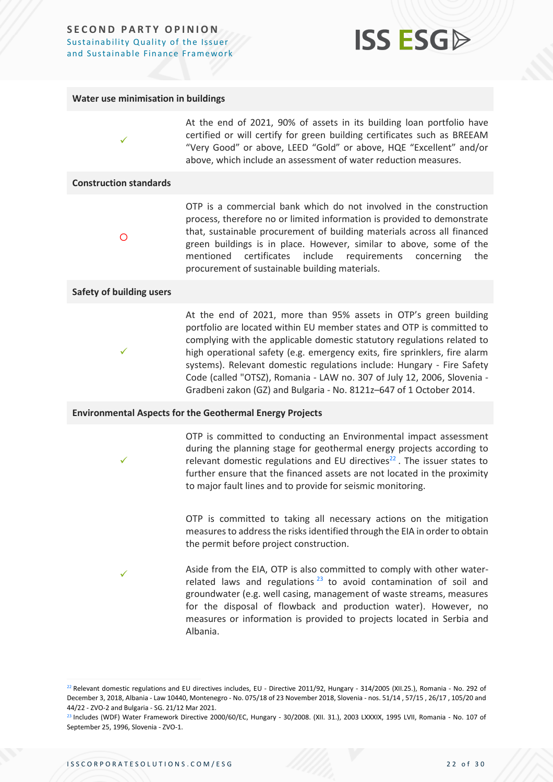

#### **Water use minimisation in buildings**

At the end of 2021, 90% of assets in its building loan portfolio have certified or will certify for green building certificates such as BREEAM "Very Good" or above, LEED "Gold" or above, HQE "Excellent" and/or above, which include an assessment of water reduction measures.

#### **Construction standards**

✓

 $\circ$ 

OTP is a commercial bank which do not involved in the construction process, therefore no or limited information is provided to demonstrate that, sustainable procurement of building materials across all financed green buildings is in place. However, similar to above, some of the mentioned certificates include requirements concerning the procurement of sustainable building materials.

#### **Safety of building users**

✓

✓

✓

At the end of 2021, more than 95% assets in OTP's green building portfolio are located within EU member states and OTP is committed to complying with the applicable domestic statutory regulations related to high operational safety (e.g. emergency exits, fire sprinklers, fire alarm systems). Relevant domestic regulations include: Hungary - Fire Safety Code (called "OTSZ), Romania - LAW no. 307 of July 12, 2006, Slovenia - Gradbeni zakon (GZ) and Bulgaria - No. 8121z–647 of 1 October 2014.

#### **Environmental Aspects for the Geothermal Energy Projects**

OTP is committed to conducting an Environmental impact assessment during the planning stage for geothermal energy projects according to relevant domestic regulations and EU directives $^{22}$ . The issuer states to further ensure that the financed assets are not located in the proximity to major fault lines and to provide for seismic monitoring.

OTP is committed to taking all necessary actions on the mitigation measures to address the risks identified through the EIA in order to obtain the permit before project construction.

Aside from the EIA, OTP is also committed to comply with other waterrelated laws and regulations  $23$  to avoid contamination of soil and groundwater (e.g. well casing, management of waste streams, measures for the disposal of flowback and production water). However, no measures or information is provided to projects located in Serbia and Albania.

 $^{22}$  Relevant domestic regulations and EU directives includes, EU - Directive 2011/92, Hungary - 314/2005 (XII.25.), Romania - No. 292 of December 3, 2018, Albania - Law 10440, Montenegro - No. 075/18 of 23 November 2018, Slovenia - nos. 51/14 , 57/15 , 26/17 , 105/20 and 44/22 - ZVO-2 and Bulgaria - SG. 21/12 Mar 2021.

<sup>23</sup> Includes (WDF) Water Framework Directive 2000/60/EC, Hungary - 30/2008. (XII. 31.), 2003 LXXXIX, 1995 LVII, Romania - No. 107 of September 25, 1996, Slovenia - ZVO-1.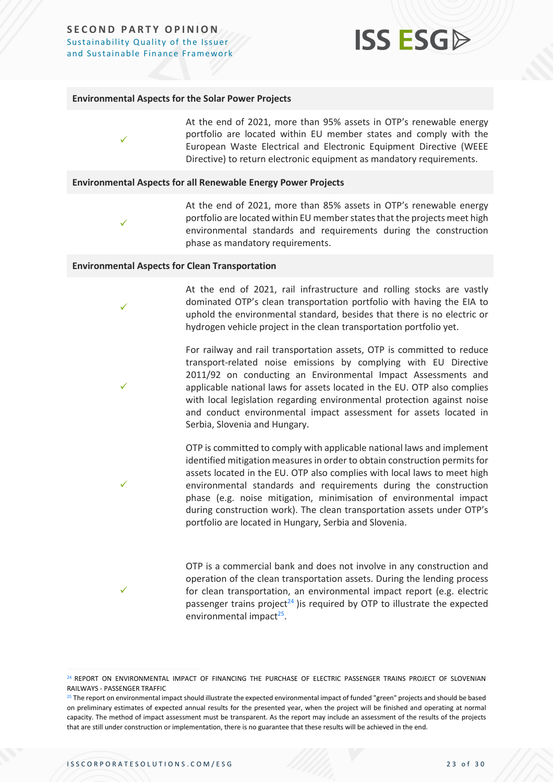## **ISS ESGA**

#### **Environmental Aspects for the Solar Power Projects**

✓

✓

✓

✓

✓

✓

At the end of 2021, more than 95% assets in OTP's renewable energy portfolio are located within EU member states and comply with the European Waste Electrical and Electronic Equipment Directive (WEEE Directive) to return electronic equipment as mandatory requirements.

#### **Environmental Aspects for all Renewable Energy Power Projects**

At the end of 2021, more than 85% assets in OTP's renewable energy portfolio are located within EU member states that the projects meet high environmental standards and requirements during the construction phase as mandatory requirements.

#### **Environmental Aspects for Clean Transportation**

At the end of 2021, rail infrastructure and rolling stocks are vastly dominated OTP's clean transportation portfolio with having the EIA to uphold the environmental standard, besides that there is no electric or hydrogen vehicle project in the clean transportation portfolio yet.

For railway and rail transportation assets, OTP is committed to reduce transport-related noise emissions by complying with EU Directive 2011/92 on conducting an Environmental Impact Assessments and applicable national laws for assets located in the EU. OTP also complies with local legislation regarding environmental protection against noise and conduct environmental impact assessment for assets located in Serbia, Slovenia and Hungary.

OTP is committed to comply with applicable national laws and implement identified mitigation measures in order to obtain construction permits for assets located in the EU. OTP also complies with local laws to meet high environmental standards and requirements during the construction phase (e.g. noise mitigation, minimisation of environmental impact during construction work). The clean transportation assets under OTP's portfolio are located in Hungary, Serbia and Slovenia.

OTP is a commercial bank and does not involve in any construction and operation of the clean transportation assets. During the lending process for clean transportation, an environmental impact report (e.g. electric passenger trains project<sup>24</sup> ) is required by OTP to illustrate the expected environmental impact<sup>25</sup>.

<sup>24</sup> REPORT ON ENVIRONMENTAL IMPACT OF FINANCING THE PURCHASE OF ELECTRIC PASSENGER TRAINS PROJECT OF SLOVENIAN RAILWAYS - PASSENGER TRAFFIC

<sup>&</sup>lt;sup>25</sup> The report on environmental impact should illustrate the expected environmental impact of funded "green" projects and should be based on preliminary estimates of expected annual results for the presented year, when the project will be finished and operating at normal capacity. The method of impact assessment must be transparent. As the report may include an assessment of the results of the projects that are still under construction or implementation, there is no guarantee that these results will be achieved in the end.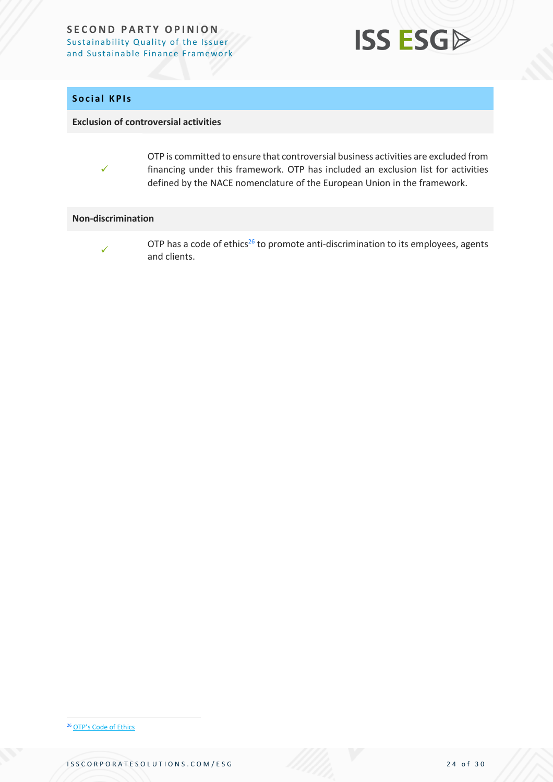

#### **Social KPIs**

✓

#### **Exclusion of controversial activities**

OTP is committed to ensure that controversial business activities are excluded from financing under this framework. OTP has included an exclusion list for activities defined by the NACE nomenclature of the European Union in the framework.

#### **Non-discrimination**

✓

OTP has a code of ethics<sup>26</sup> to promote anti-discrimination to its employees, agents and clients.

<sup>26</sup> OTP's [Code of Ethics](https://www.otpbank.hu/static/portal/sw/file/OTP_EtikaiKodex_EN.pdf)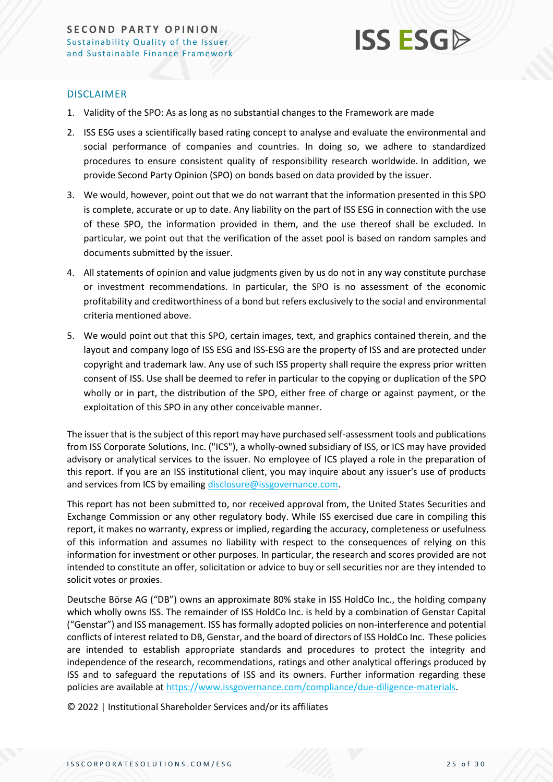

#### DISCLAIMER

- 1. Validity of the SPO: As as long as no substantial changes to the Framework are made
- 2. ISS ESG uses a scientifically based rating concept to analyse and evaluate the environmental and social performance of companies and countries. In doing so, we adhere to standardized procedures to ensure consistent quality of responsibility research worldwide. In addition, we provide Second Party Opinion (SPO) on bonds based on data provided by the issuer.
- 3. We would, however, point out that we do not warrant that the information presented in this SPO is complete, accurate or up to date. Any liability on the part of ISS ESG in connection with the use of these SPO, the information provided in them, and the use thereof shall be excluded. In particular, we point out that the verification of the asset pool is based on random samples and documents submitted by the issuer.
- 4. All statements of opinion and value judgments given by us do not in any way constitute purchase or investment recommendations. In particular, the SPO is no assessment of the economic profitability and creditworthiness of a bond but refers exclusively to the social and environmental criteria mentioned above.
- 5. We would point out that this SPO, certain images, text, and graphics contained therein, and the layout and company logo of ISS ESG and ISS-ESG are the property of ISS and are protected under copyright and trademark law. Any use of such ISS property shall require the express prior written consent of ISS. Use shall be deemed to refer in particular to the copying or duplication of the SPO wholly or in part, the distribution of the SPO, either free of charge or against payment, or the exploitation of this SPO in any other conceivable manner.

The issuer that is the subject of this report may have purchased self-assessment tools and publications from ISS Corporate Solutions, Inc. ("ICS"), a wholly-owned subsidiary of ISS, or ICS may have provided advisory or analytical services to the issuer. No employee of ICS played a role in the preparation of this report. If you are an ISS institutional client, you may inquire about any issuer's use of products and services from ICS by emailin[g disclosure@issgovernance.com.](mailto:disclosure@issgovernance.com)

This report has not been submitted to, nor received approval from, the United States Securities and Exchange Commission or any other regulatory body. While ISS exercised due care in compiling this report, it makes no warranty, express or implied, regarding the accuracy, completeness or usefulness of this information and assumes no liability with respect to the consequences of relying on this information for investment or other purposes. In particular, the research and scores provided are not intended to constitute an offer, solicitation or advice to buy or sell securities nor are they intended to solicit votes or proxies.

Deutsche Börse AG ("DB") owns an approximate 80% stake in ISS HoldCo Inc., the holding company which wholly owns ISS. The remainder of ISS HoldCo Inc. is held by a combination of Genstar Capital ("Genstar") and ISS management. ISS has formally adopted policies on non-interference and potential conflicts of interest related to DB, Genstar, and the board of directors of ISS HoldCo Inc. These policies are intended to establish appropriate standards and procedures to protect the integrity and independence of the research, recommendations, ratings and other analytical offerings produced by ISS and to safeguard the reputations of ISS and its owners. Further information regarding these policies are available a[t https://www.issgovernance.com/compliance/due-diligence-materials.](https://www.issgovernance.com/compliance/due-diligence-materials)

© 2022 | Institutional Shareholder Services and/or its affiliates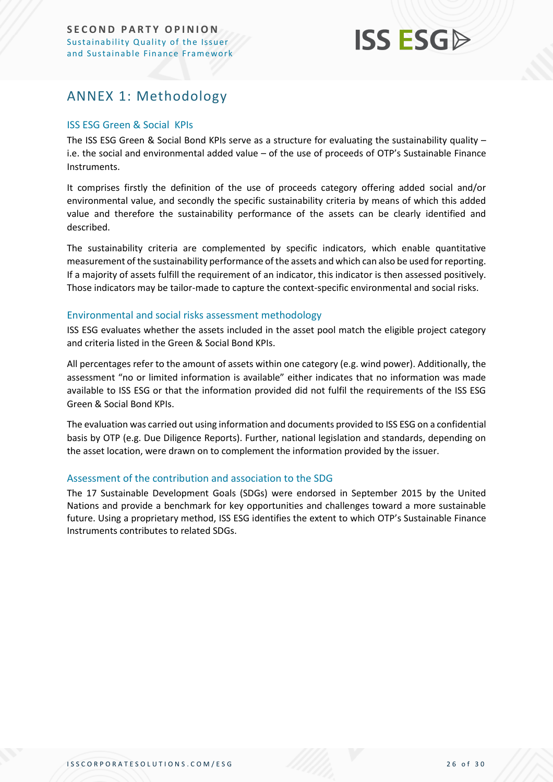

## <span id="page-25-0"></span>ANNEX 1: Methodology

#### ISS ESG Green & Social KPIs

The ISS ESG Green & Social Bond KPIs serve as a structure for evaluating the sustainability quality – i.e. the social and environmental added value – of the use of proceeds of OTP's Sustainable Finance Instruments.

It comprises firstly the definition of the use of proceeds category offering added social and/or environmental value, and secondly the specific sustainability criteria by means of which this added value and therefore the sustainability performance of the assets can be clearly identified and described.

The sustainability criteria are complemented by specific indicators, which enable quantitative measurement of the sustainability performance of the assets and which can also be used for reporting. If a majority of assets fulfill the requirement of an indicator, this indicator is then assessed positively. Those indicators may be tailor-made to capture the context-specific environmental and social risks.

#### Environmental and social risks assessment methodology

ISS ESG evaluates whether the assets included in the asset pool match the eligible project category and criteria listed in the Green & Social Bond KPIs.

All percentages refer to the amount of assets within one category (e.g. wind power). Additionally, the assessment "no or limited information is available" either indicates that no information was made available to ISS ESG or that the information provided did not fulfil the requirements of the ISS ESG Green & Social Bond KPIs.

The evaluation was carried out using information and documents provided to ISS ESG on a confidential basis by OTP (e.g. Due Diligence Reports). Further, national legislation and standards, depending on the asset location, were drawn on to complement the information provided by the issuer.

#### Assessment of the contribution and association to the SDG

The 17 Sustainable Development Goals (SDGs) were endorsed in September 2015 by the United Nations and provide a benchmark for key opportunities and challenges toward a more sustainable future. Using a proprietary method, ISS ESG identifies the extent to which OTP's Sustainable Finance Instruments contributes to related SDGs.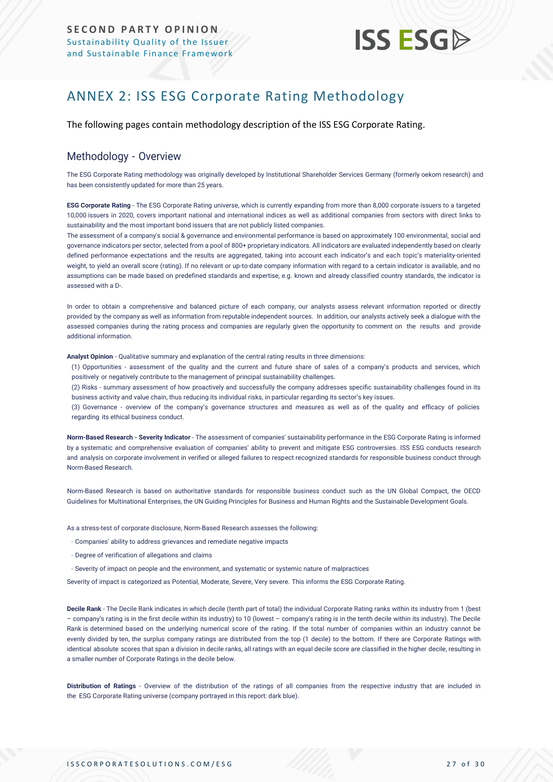## **ISS ESG**

## <span id="page-26-0"></span>ANNEX 2: ISS ESG Corporate Rating Methodology

The following pages contain methodology description of the ISS ESG Corporate Rating.

#### Methodology - Overview

The ESG Corporate Rating methodology was originally developed by Institutional Shareholder Services Germany (formerly oekom research) and has been consistently updated for more than 25 years.

**ESG Corporate Rating** - The ESG Corporate Rating universe, which is currently expanding from more than 8,000 corporate issuers to a targeted 10,000 issuers in 2020, covers important national and international indices as well as additional companies from sectors with direct links to sustainability and the most important bond issuers that are not publicly listed companies.

The assessment of a company's social & governance and environmental performance is based on approximately 100 environmental, social and governance indicators per sector, selected from a pool of 800+ proprietary indicators. All indicators are evaluated independently based on clearly defined performance expectations and the results are aggregated, taking into account each indicator's and each topic's materiality-oriented weight, to yield an overall score (rating). If no relevant or up-to-date company information with regard to a certain indicator is available, and no assumptions can be made based on predefined standards and expertise, e.g. known and already classified country standards, the indicator is assessed with a D-.

In order to obtain a comprehensive and balanced picture of each company, our analysts assess relevant information reported or directly provided by the company as well as information from reputable independent sources. In addition, our analysts actively seek a dialogue with the assessed companies during the rating process and companies are regularly given the opportunity to comment on the results and provide additional information.

**Analyst Opinion** - Qualitative summary and explanation of the central rating results in three dimensions:

(1) Opportunities - assessment of the quality and the current and future share of sales of a company's products and services, which positively or negatively contribute to the management of principal sustainability challenges.

(2) Risks - summary assessment of how proactively and successfully the company addresses specific sustainability challenges found in its business activity and value chain, thus reducing its individual risks, in particular regarding its sector's key issues.

(3) Governance - overview of the company's governance structures and measures as well as of the quality and efficacy of policies regarding its ethical business conduct.

**Norm-Based Research - Severity Indicator** - The assessment of companies' sustainability performance in the ESG Corporate Rating is informed by a systematic and comprehensive evaluation of companies' ability to prevent and mitigate ESG controversies. ISS ESG conducts research and analysis on corporate involvement in verified or alleged failures to resp[ect recognized standards for responsible business conduct through](https://www.issgovernance.com/esg/screening/esg-screening-solutions/#nbr_techdoc_download)  [Norm-Based](https://www.issgovernance.com/esg/screening/esg-screening-solutions/#nbr_techdoc_download) Research.

Norm-Based Research is based on authoritative standards for responsible business conduct such as the UN Global Compact, the OECD Guidelines for Multinational Enterprises, the UN Guiding Principles for Business and Human Rights and the Sustainable Development Goals.

As a stress-test of corporate disclosure, Norm-Based Research assesses the following:

- Companies' ability to address grievances and remediate negative impacts
- Degree of verification of allegations and claims
- Severity of impact on people and the environment, and systematic or systemic nature of malpractices

Severity of impact is categorized as Potential, Moderate, Severe, Very severe. This informs the ESG Corporate Rating.

**Decile Rank** - The Decile Rank indicates in which decile (tenth part of total) the individual Corporate Rating ranks within its industry from 1 (best – company's rating is in the first decile within its industry) to 10 (lowest – company's rating is in the tenth decile within its industry). The Decile Rank is determined based on the underlying numerical score of the rating. If the total number of companies within an industry cannot be evenly divided by ten, the surplus company ratings are distributed from the top (1 decile) to the bottom. If there are Corporate Ratings with identical absolute scores that span a division in decile ranks, all ratings with an equal decile score are classified in the higher decile, resulting in a smaller number of Corporate Ratings in the decile below.

**Distribution of Ratings** - Overview of the distribution of the ratings of all companies from the respective industry that are included in the ESG Corporate Rating universe (company portrayed in this report: dark blue).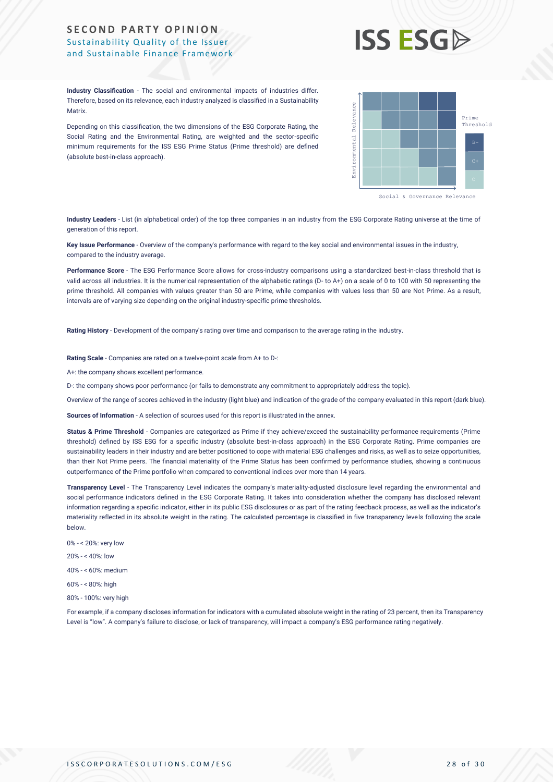

**Industry Classification** - The social and environmental impacts of industries differ. Therefore, based on its relevance, each industry analyzed is classified in a Sustainability Matrix.

Depending on this classification, the two dimensions of the ESG Corporate Rating, the Social Rating and the Environmental Rating, are weighted and the sector-specific minimum requirements for the ISS ESG Prime Status (Prime threshold) are defined (absolute best-in-class approach).



**Industry Leaders** - List (in alphabetical order) of the top three companies in an industry from the ESG Corporate Rating universe at the time of generation of this report.

**Key Issue Performance** - Overview of the company's performance with regard to the key social and environmental issues in the industry, compared to the industry average.

**Performance Score** - The ESG Performance Score allows for cross-industry comparisons using a standardized best-in-class threshold that is valid across all industries. It is the numerical representation of the alphabetic ratings (D- to A+) on a scale of 0 to 100 with 50 representing the prime threshold. All companies with values greater than 50 are Prime, while companies with values less than 50 are Not Prime. As a result, intervals are of varying size depending on the original industry-specific prime thresholds.

**Rating History** - Development of the company's rating over time and comparison to the average rating in the industry.

**Rating Scale** - Companies are rated on a twelve-point scale from A+ to D-:

A+: the company shows excellent performance.

D-: the company shows poor performance (or fails to demonstrate any commitment to appropriately address the topic).

Overview of the range of scores achieved in the industry (light blue) and indication of the grade of the company evaluated in this report (dark blue).

**Sources of Information** - A selection of sources used for this report is illustrated in the annex.

**Status & Prime Threshold** - Companies are categorized as Prime if they achieve/exceed the sustainability performance requirements (Prime threshold) defined by ISS ESG for a specific industry (absolute best-in-class approach) in the ESG Corporate Rating. Prime companies are sustainability leaders in their industry and are better positioned to cope with material ESG challenges and risks, as well as to seize opportunities, than their Not Prime peers. The financial materiality of the Prime Status has been confirmed by performance studies, showing a continuous outperformance of the Prime portfolio when compared to conventional indices over more than 14 years. Metrics and the disclose of the silence is original to the CD Corporate Batis, the second metrics and the silence of transparency of the same second metrics and the silence of the silence of the silence of the silence of t

**Transparency Level** - The Transparency Level indicates the company's materiality-adjusted disclosure level regarding the environmental and social performance indicators defined in the ESG Corporate Rating. It takes into consideration whether the company has disclosed relevant information regarding a specific indicator, either in its public ESG disclosures or as part of the rating feedback process, as well as the indicator's materiality reflected in its absolute weight in the rating. The calculated percentage is classified in five transparency levels following the scale below.

- 0% < 20%: very low 20% - < 40%: low 40% - < 60%: medium 60% - < 80%: high
- 80% 100%: very high

For example, if a company discloses information for indicators with a cumulated absolute weight in the rating of 23 percent, then its Transparency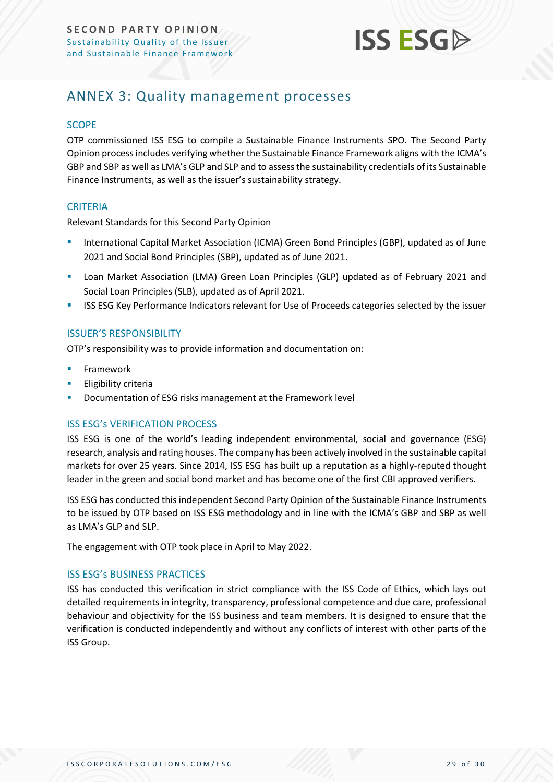

## <span id="page-28-0"></span>ANNEX 3: Quality management processes

#### **SCOPE**

OTP commissioned ISS ESG to compile a Sustainable Finance Instruments SPO. The Second Party Opinion process includes verifying whether the Sustainable Finance Framework aligns with the ICMA's GBP and SBP as well as LMA's GLP and SLP and to assess the sustainability credentials of its Sustainable Finance Instruments, as well as the issuer's sustainability strategy.

#### **CRITERIA**

Relevant Standards for this Second Party Opinion

- **E** International Capital Market Association (ICMA) Green Bond Principles (GBP), updated as of June 2021 and Social Bond Principles (SBP), updated as of June 2021.
- Loan Market Association (LMA) Green Loan Principles (GLP) updated as of February 2021 and Social Loan Principles (SLB), updated as of April 2021.
- **EXECT AS ESG Key Performance Indicators relevant for Use of Proceeds categories selected by the issuer**

#### ISSUER'S RESPONSIBILITY

OTP's responsibility was to provide information and documentation on:

- **Framework**
- **Eligibility criteria**
- Documentation of ESG risks management at the Framework level

#### ISS ESG's VERIFICATION PROCESS

ISS ESG is one of the world's leading independent environmental, social and governance (ESG) research, analysis and rating houses. The company has been actively involved in the sustainable capital markets for over 25 years. Since 2014, ISS ESG has built up a reputation as a highly-reputed thought leader in the green and social bond market and has become one of the first CBI approved verifiers.

ISS ESG has conducted this independent Second Party Opinion of the Sustainable Finance Instruments to be issued by OTP based on ISS ESG methodology and in line with the ICMA's GBP and SBP as well as LMA's GLP and SLP.

The engagement with OTP took place in April to May 2022.

#### ISS ESG's BUSINESS PRACTICES

ISS has conducted this verification in strict compliance with the ISS Code of Ethics, which lays out detailed requirements in integrity, transparency, professional competence and due care, professional behaviour and objectivity for the ISS business and team members. It is designed to ensure that the verification is conducted independently and without any conflicts of interest with other parts of the ISS Group.